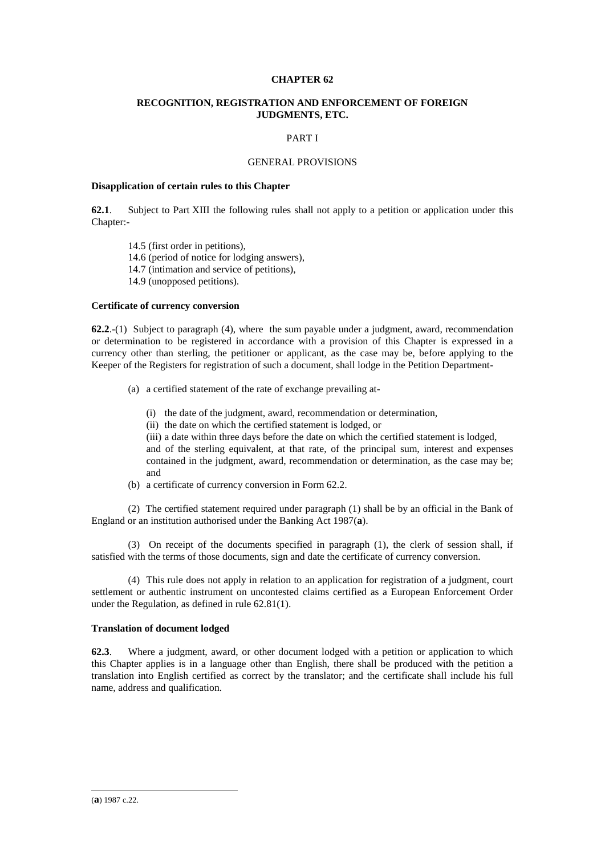# **CHAPTER 62**

# **RECOGNITION, REGISTRATION AND ENFORCEMENT OF FOREIGN JUDGMENTS, ETC.**

## PART I

## GENERAL PROVISIONS

## **Disapplication of certain rules to this Chapter**

**62.1**. Subject to Part XIII the following rules shall not apply to a petition or application under this Chapter:-

14.5 (first order in petitions), 14.6 (period of notice for lodging answers), 14.7 (intimation and service of petitions), 14.9 (unopposed petitions).

# **Certificate of currency conversion**

**62.2**.-(1) Subject to paragraph (4), where the sum payable under a judgment, award, recommendation or determination to be registered in accordance with a provision of this Chapter is expressed in a currency other than sterling, the petitioner or applicant, as the case may be, before applying to the Keeper of the Registers for registration of such a document, shall lodge in the Petition Department-

- (a) a certified statement of the rate of exchange prevailing at-
	- (i) the date of the judgment, award, recommendation or determination,
	- (ii) the date on which the certified statement is lodged, or
	- (iii) a date within three days before the date on which the certified statement is lodged,

and of the sterling equivalent, at that rate, of the principal sum, interest and expenses contained in the judgment, award, recommendation or determination, as the case may be; and

(b) a certificate of currency conversion in Form 62.2.

(2) The certified statement required under paragraph (1) shall be by an official in the Bank of England or an institution authorised under the Banking Act 1987(**a**).

(3) On receipt of the documents specified in paragraph (1), the clerk of session shall, if satisfied with the terms of those documents, sign and date the certificate of currency conversion.

(4) This rule does not apply in relation to an application for registration of a judgment, court settlement or authentic instrument on uncontested claims certified as a European Enforcement Order under the Regulation, as defined in rule 62.81(1).

## **Translation of document lodged**

**62.3**. Where a judgment, award, or other document lodged with a petition or application to which this Chapter applies is in a language other than English, there shall be produced with the petition a translation into English certified as correct by the translator; and the certificate shall include his full name, address and qualification.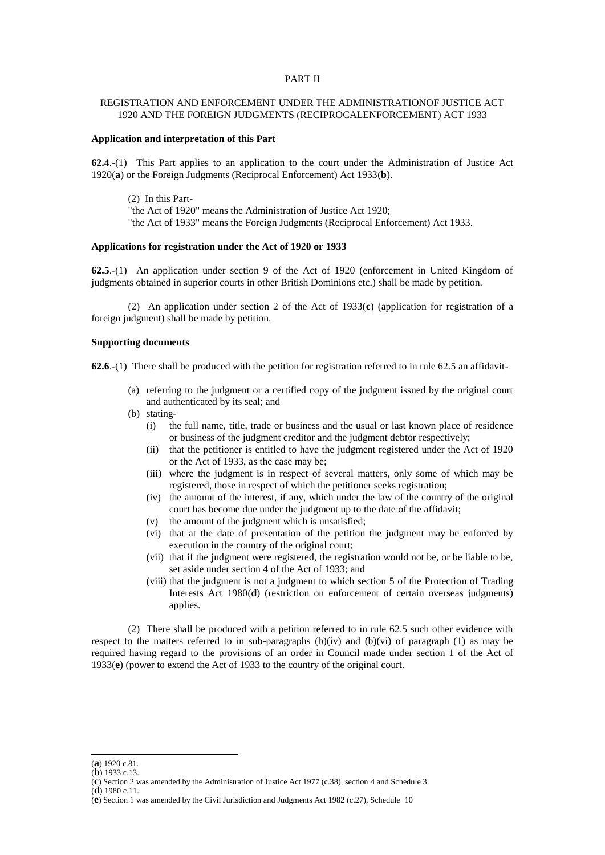## PART II

# REGISTRATION AND ENFORCEMENT UNDER THE ADMINISTRATIONOF JUSTICE ACT 1920 AND THE FOREIGN JUDGMENTS (RECIPROCALENFORCEMENT) ACT 1933

# **Application and interpretation of this Part**

**62.4**.-(1) This Part applies to an application to the court under the Administration of Justice Act 1920(**a**) or the Foreign Judgments (Reciprocal Enforcement) Act 1933(**b**).

(2) In this Part- "the Act of 1920" means the Administration of Justice Act 1920; "the Act of 1933" means the Foreign Judgments (Reciprocal Enforcement) Act 1933.

## **Applications for registration under the Act of 1920 or 1933**

**62.5**.-(1) An application under section 9 of the Act of 1920 (enforcement in United Kingdom of judgments obtained in superior courts in other British Dominions etc.) shall be made by petition.

(2) An application under section 2 of the Act of 1933(**c**) (application for registration of a foreign judgment) shall be made by petition.

# **Supporting documents**

**62.6**.-(1) There shall be produced with the petition for registration referred to in rule 62.5 an affidavit-

- (a) referring to the judgment or a certified copy of the judgment issued by the original court and authenticated by its seal; and
- (b) stating-
	- (i) the full name, title, trade or business and the usual or last known place of residence or business of the judgment creditor and the judgment debtor respectively;
	- (ii) that the petitioner is entitled to have the judgment registered under the Act of 1920 or the Act of 1933, as the case may be;
	- (iii) where the judgment is in respect of several matters, only some of which may be registered, those in respect of which the petitioner seeks registration;
	- (iv) the amount of the interest, if any, which under the law of the country of the original court has become due under the judgment up to the date of the affidavit;
	- (v) the amount of the judgment which is unsatisfied;
	- (vi) that at the date of presentation of the petition the judgment may be enforced by execution in the country of the original court;
	- (vii) that if the judgment were registered, the registration would not be, or be liable to be, set aside under section 4 of the Act of 1933; and
	- (viii) that the judgment is not a judgment to which section 5 of the Protection of Trading Interests Act 1980(**d**) (restriction on enforcement of certain overseas judgments) applies.

(2) There shall be produced with a petition referred to in rule 62.5 such other evidence with respect to the matters referred to in sub-paragraphs  $(b)(iv)$  and  $(b)(vi)$  of paragraph (1) as may be required having regard to the provisions of an order in Council made under section 1 of the Act of 1933(**e**) (power to extend the Act of 1933 to the country of the original court.

<sup>(</sup>**a**) 1920 c.81.

<sup>(</sup>**b**) 1933 c.13.

<sup>(</sup>**c**) Section 2 was amended by the Administration of Justice Act 1977 (c.38), section 4 and Schedule 3. (**d**) 1980 c.11.

<sup>(</sup>**e**) Section 1 was amended by the Civil Jurisdiction and Judgments Act 1982 (c.27), Schedule 10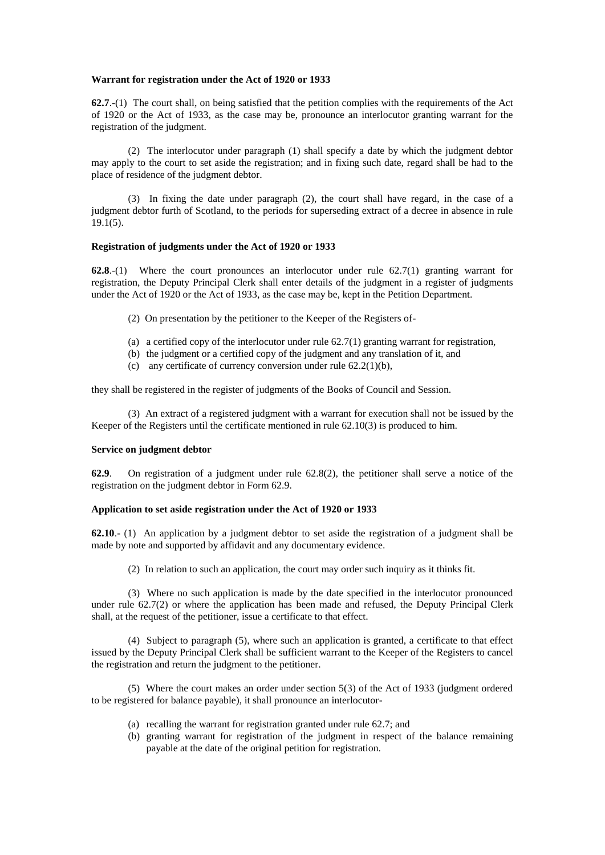#### **Warrant for registration under the Act of 1920 or 1933**

**62.7**.-(1) The court shall, on being satisfied that the petition complies with the requirements of the Act of 1920 or the Act of 1933, as the case may be, pronounce an interlocutor granting warrant for the registration of the judgment.

(2) The interlocutor under paragraph (1) shall specify a date by which the judgment debtor may apply to the court to set aside the registration; and in fixing such date, regard shall be had to the place of residence of the judgment debtor.

(3) In fixing the date under paragraph (2), the court shall have regard, in the case of a judgment debtor furth of Scotland, to the periods for superseding extract of a decree in absence in rule 19.1(5).

## **Registration of judgments under the Act of 1920 or 1933**

**62.8**.-(1) Where the court pronounces an interlocutor under rule 62.7(1) granting warrant for registration, the Deputy Principal Clerk shall enter details of the judgment in a register of judgments under the Act of 1920 or the Act of 1933, as the case may be, kept in the Petition Department.

- (2) On presentation by the petitioner to the Keeper of the Registers of-
- (a) a certified copy of the interlocutor under rule 62.7(1) granting warrant for registration,
- (b) the judgment or a certified copy of the judgment and any translation of it, and
- (c) any certificate of currency conversion under rule 62.2(1)(b),

they shall be registered in the register of judgments of the Books of Council and Session.

(3) An extract of a registered judgment with a warrant for execution shall not be issued by the Keeper of the Registers until the certificate mentioned in rule 62.10(3) is produced to him.

# **Service on judgment debtor**

**62.9**. On registration of a judgment under rule 62.8(2), the petitioner shall serve a notice of the registration on the judgment debtor in Form 62.9.

## **Application to set aside registration under the Act of 1920 or 1933**

**62.10**.- (1) An application by a judgment debtor to set aside the registration of a judgment shall be made by note and supported by affidavit and any documentary evidence.

(2) In relation to such an application, the court may order such inquiry as it thinks fit.

(3) Where no such application is made by the date specified in the interlocutor pronounced under rule 62.7(2) or where the application has been made and refused, the Deputy Principal Clerk shall, at the request of the petitioner, issue a certificate to that effect.

(4) Subject to paragraph (5), where such an application is granted, a certificate to that effect issued by the Deputy Principal Clerk shall be sufficient warrant to the Keeper of the Registers to cancel the registration and return the judgment to the petitioner.

(5) Where the court makes an order under section 5(3) of the Act of 1933 (judgment ordered to be registered for balance payable), it shall pronounce an interlocutor-

- (a) recalling the warrant for registration granted under rule 62.7; and
- (b) granting warrant for registration of the judgment in respect of the balance remaining payable at the date of the original petition for registration.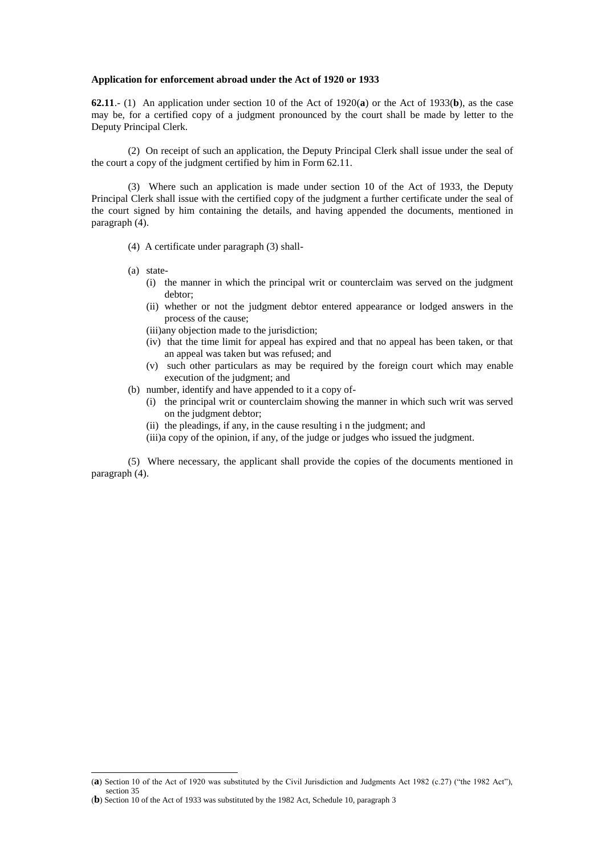#### **Application for enforcement abroad under the Act of 1920 or 1933**

**62.11**.- (1) An application under section 10 of the Act of 1920(**a**) or the Act of 1933(**b**), as the case may be, for a certified copy of a judgment pronounced by the court shall be made by letter to the Deputy Principal Clerk.

(2) On receipt of such an application, the Deputy Principal Clerk shall issue under the seal of the court a copy of the judgment certified by him in Form 62.11.

(3) Where such an application is made under section 10 of the Act of 1933, the Deputy Principal Clerk shall issue with the certified copy of the judgment a further certificate under the seal of the court signed by him containing the details, and having appended the documents, mentioned in paragraph (4).

(4) A certificate under paragraph (3) shall-

(a) state-

-

- (i) the manner in which the principal writ or counterclaim was served on the judgment debtor;
- (ii) whether or not the judgment debtor entered appearance or lodged answers in the process of the cause;

(iii)any objection made to the jurisdiction;

- (iv) that the time limit for appeal has expired and that no appeal has been taken, or that an appeal was taken but was refused; and
- (v) such other particulars as may be required by the foreign court which may enable execution of the judgment; and

(b) number, identify and have appended to it a copy of-

- (i) the principal writ or counterclaim showing the manner in which such writ was served on the judgment debtor;
- (ii) the pleadings, if any, in the cause resulting i n the judgment; and

(iii)a copy of the opinion, if any, of the judge or judges who issued the judgment.

(5) Where necessary, the applicant shall provide the copies of the documents mentioned in paragraph (4).

<sup>(</sup>**a**) Section 10 of the Act of 1920 was substituted by the Civil Jurisdiction and Judgments Act 1982 (c.27) ("the 1982 Act"), section 35

<sup>(</sup>**b**) Section 10 of the Act of 1933 was substituted by the 1982 Act, Schedule 10, paragraph 3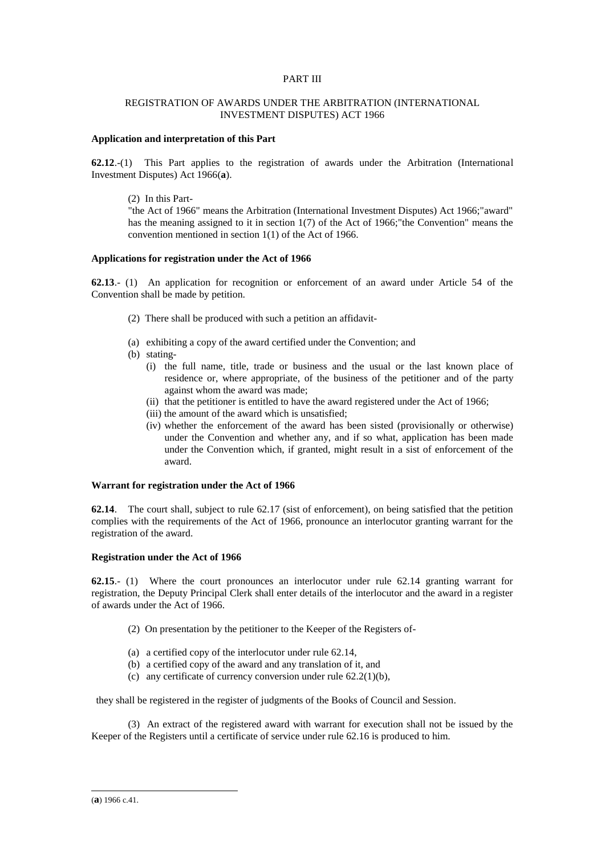# PART III

# REGISTRATION OF AWARDS UNDER THE ARBITRATION (INTERNATIONAL INVESTMENT DISPUTES) ACT 1966

## **Application and interpretation of this Part**

**62.12**.-(1) This Part applies to the registration of awards under the Arbitration (International Investment Disputes) Act 1966(**a**).

(2) In this Part-

"the Act of 1966" means the Arbitration (International Investment Disputes) Act 1966;"award" has the meaning assigned to it in section 1(7) of the Act of 1966;"the Convention" means the convention mentioned in section 1(1) of the Act of 1966.

#### **Applications for registration under the Act of 1966**

**62.13**.- (1) An application for recognition or enforcement of an award under Article 54 of the Convention shall be made by petition.

- (2) There shall be produced with such a petition an affidavit-
- (a) exhibiting a copy of the award certified under the Convention; and
- (b) stating-
	- (i) the full name, title, trade or business and the usual or the last known place of residence or, where appropriate, of the business of the petitioner and of the party against whom the award was made;
	- (ii) that the petitioner is entitled to have the award registered under the Act of 1966;
	- (iii) the amount of the award which is unsatisfied;
	- (iv) whether the enforcement of the award has been sisted (provisionally or otherwise) under the Convention and whether any, and if so what, application has been made under the Convention which, if granted, might result in a sist of enforcement of the award.

## **Warrant for registration under the Act of 1966**

**62.14**. The court shall, subject to rule 62.17 (sist of enforcement), on being satisfied that the petition complies with the requirements of the Act of 1966, pronounce an interlocutor granting warrant for the registration of the award.

#### **Registration under the Act of 1966**

**62.15**.- (1) Where the court pronounces an interlocutor under rule 62.14 granting warrant for registration, the Deputy Principal Clerk shall enter details of the interlocutor and the award in a register of awards under the Act of 1966.

- (2) On presentation by the petitioner to the Keeper of the Registers of-
- (a) a certified copy of the interlocutor under rule 62.14,
- (b) a certified copy of the award and any translation of it, and
- (c) any certificate of currency conversion under rule  $62.2(1)(b)$ ,

they shall be registered in the register of judgments of the Books of Council and Session.

(3) An extract of the registered award with warrant for execution shall not be issued by the Keeper of the Registers until a certificate of service under rule 62.16 is produced to him.

<sup>(</sup>**a**) 1966 c.41.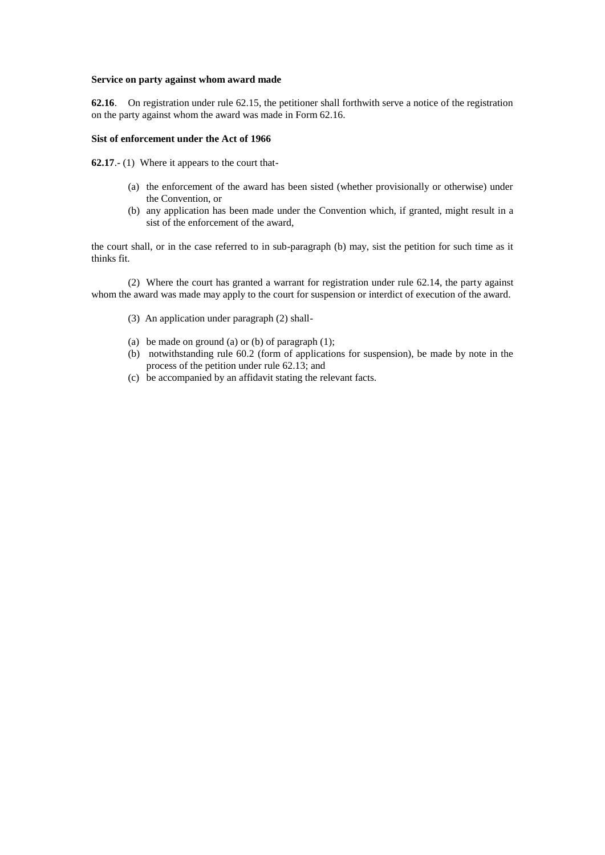#### **Service on party against whom award made**

**62.16**. On registration under rule 62.15, the petitioner shall forthwith serve a notice of the registration on the party against whom the award was made in Form 62.16.

# **Sist of enforcement under the Act of 1966**

**62.17**.- (1) Where it appears to the court that-

- (a) the enforcement of the award has been sisted (whether provisionally or otherwise) under the Convention, or
- (b) any application has been made under the Convention which, if granted, might result in a sist of the enforcement of the award,

the court shall, or in the case referred to in sub-paragraph (b) may, sist the petition for such time as it thinks fit.

(2) Where the court has granted a warrant for registration under rule 62.14, the party against whom the award was made may apply to the court for suspension or interdict of execution of the award.

- (3) An application under paragraph (2) shall-
- (a) be made on ground (a) or (b) of paragraph  $(1)$ ;
- (b) notwithstanding rule 60.2 (form of applications for suspension), be made by note in the process of the petition under rule 62.13; and
- (c) be accompanied by an affidavit stating the relevant facts.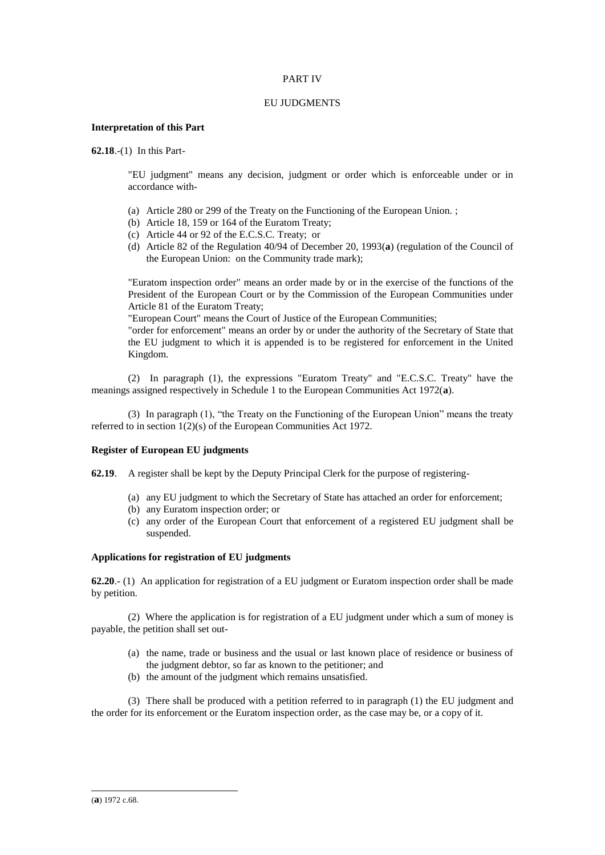# PART IV

## EU JUDGMENTS

# **Interpretation of this Part**

**62.18**.-(1) In this Part-

"EU judgment" means any decision, judgment or order which is enforceable under or in accordance with-

- (a) Article 280 or 299 of the Treaty on the Functioning of the European Union. ;
- (b) Article 18, 159 or 164 of the Euratom Treaty;
- (c) Article 44 or 92 of the E.C.S.C. Treaty; or
- (d) Article 82 of the Regulation 40/94 of December 20, 1993(**a**) (regulation of the Council of the European Union: on the Community trade mark);

"Euratom inspection order" means an order made by or in the exercise of the functions of the President of the European Court or by the Commission of the European Communities under Article 81 of the Euratom Treaty;

"European Court" means the Court of Justice of the European Communities;

"order for enforcement" means an order by or under the authority of the Secretary of State that the EU judgment to which it is appended is to be registered for enforcement in the United Kingdom.

(2) In paragraph (1), the expressions "Euratom Treaty" and "E.C.S.C. Treaty" have the meanings assigned respectively in Schedule 1 to the European Communities Act 1972(**a**).

(3) In paragraph (1), "the Treaty on the Functioning of the European Union" means the treaty referred to in section 1(2)(s) of the European Communities Act 1972.

# **Register of European EU judgments**

- **62.19**. A register shall be kept by the Deputy Principal Clerk for the purpose of registering-
	- (a) any EU judgment to which the Secretary of State has attached an order for enforcement;
	- (b) any Euratom inspection order; or
	- (c) any order of the European Court that enforcement of a registered EU judgment shall be suspended.

# **Applications for registration of EU judgments**

**62.20**.- (1) An application for registration of a EU judgment or Euratom inspection order shall be made by petition.

(2) Where the application is for registration of a EU judgment under which a sum of money is payable, the petition shall set out-

- (a) the name, trade or business and the usual or last known place of residence or business of the judgment debtor, so far as known to the petitioner; and
- (b) the amount of the judgment which remains unsatisfied.

(3) There shall be produced with a petition referred to in paragraph (1) the EU judgment and the order for its enforcement or the Euratom inspection order, as the case may be, or a copy of it.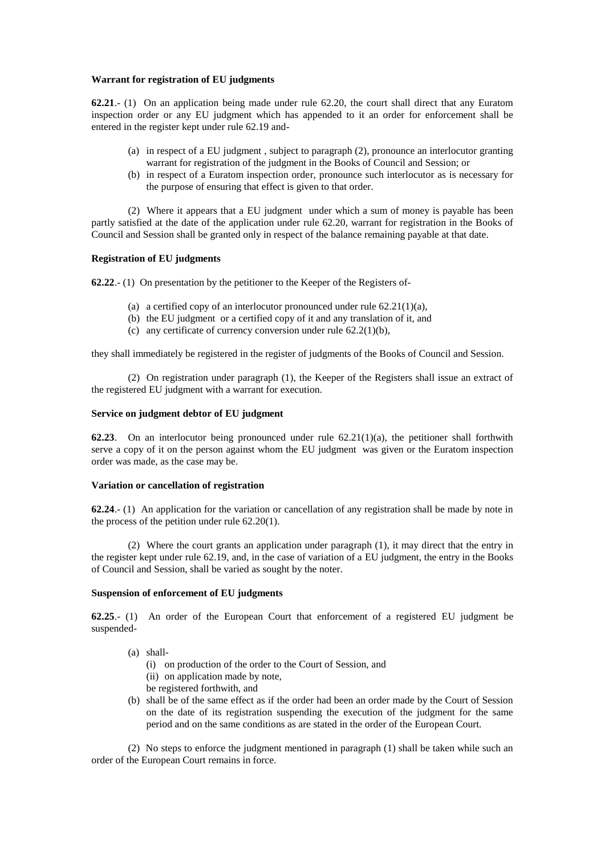## **Warrant for registration of EU judgments**

**62.21**.- (1) On an application being made under rule 62.20, the court shall direct that any Euratom inspection order or any EU judgment which has appended to it an order for enforcement shall be entered in the register kept under rule 62.19 and-

- (a) in respect of a EU judgment , subject to paragraph (2), pronounce an interlocutor granting warrant for registration of the judgment in the Books of Council and Session; or
- (b) in respect of a Euratom inspection order, pronounce such interlocutor as is necessary for the purpose of ensuring that effect is given to that order.

(2) Where it appears that a EU judgment under which a sum of money is payable has been partly satisfied at the date of the application under rule 62.20, warrant for registration in the Books of Council and Session shall be granted only in respect of the balance remaining payable at that date.

### **Registration of EU judgments**

**62.22**.- (1) On presentation by the petitioner to the Keeper of the Registers of-

- (a) a certified copy of an interlocutor pronounced under rule  $62.21(1)(a)$ ,
- (b) the EU judgment or a certified copy of it and any translation of it, and
- (c) any certificate of currency conversion under rule  $62.2(1)(b)$ ,

they shall immediately be registered in the register of judgments of the Books of Council and Session.

(2) On registration under paragraph (1), the Keeper of the Registers shall issue an extract of the registered EU judgment with a warrant for execution.

# **Service on judgment debtor of EU judgment**

**62.23**. On an interlocutor being pronounced under rule 62.21(1)(a), the petitioner shall forthwith serve a copy of it on the person against whom the EU judgment was given or the Euratom inspection order was made, as the case may be.

# **Variation or cancellation of registration**

**62.24**.- (1) An application for the variation or cancellation of any registration shall be made by note in the process of the petition under rule 62.20(1).

(2) Where the court grants an application under paragraph (1), it may direct that the entry in the register kept under rule 62.19, and, in the case of variation of a EU judgment, the entry in the Books of Council and Session, shall be varied as sought by the noter.

# **Suspension of enforcement of EU judgments**

**62.25**.- (1) An order of the European Court that enforcement of a registered EU judgment be suspended-

- (a) shall-
	- (i) on production of the order to the Court of Session, and
	- (ii) on application made by note,
	- be registered forthwith, and
- (b) shall be of the same effect as if the order had been an order made by the Court of Session on the date of its registration suspending the execution of the judgment for the same period and on the same conditions as are stated in the order of the European Court.

(2) No steps to enforce the judgment mentioned in paragraph (1) shall be taken while such an order of the European Court remains in force.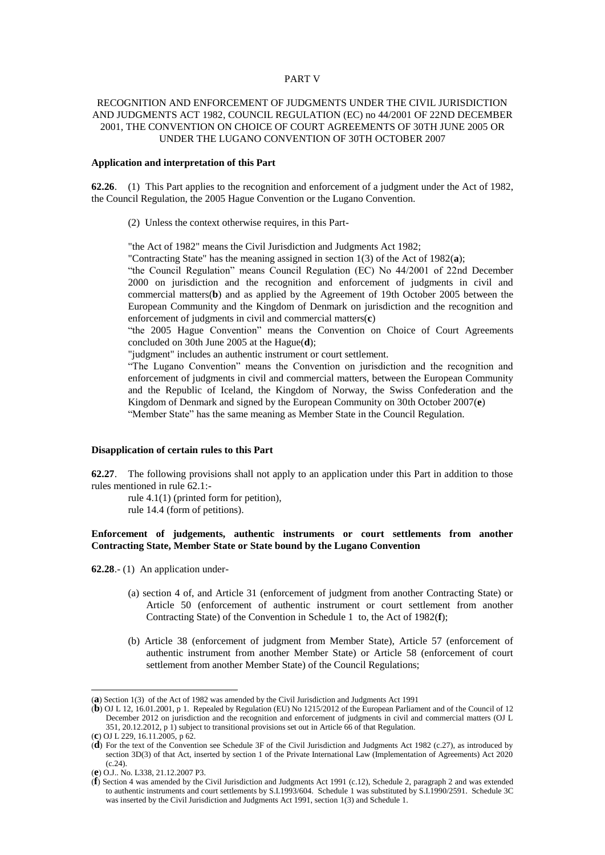#### PART V

# RECOGNITION AND ENFORCEMENT OF JUDGMENTS UNDER THE CIVIL JURISDICTION AND JUDGMENTS ACT 1982, COUNCIL REGULATION (EC) no 44/2001 OF 22ND DECEMBER 2001, THE CONVENTION ON CHOICE OF COURT AGREEMENTS OF 30TH JUNE 2005 OR UNDER THE LUGANO CONVENTION OF 30TH OCTOBER 2007

# **Application and interpretation of this Part**

**62.26**. (1) This Part applies to the recognition and enforcement of a judgment under the Act of 1982, the Council Regulation, the 2005 Hague Convention or the Lugano Convention.

(2) Unless the context otherwise requires, in this Part-

"the Act of 1982" means the Civil Jurisdiction and Judgments Act 1982;

"Contracting State" has the meaning assigned in section 1(3) of the Act of 1982(**a**);

"the Council Regulation" means Council Regulation (EC) No 44/2001 of 22nd December 2000 on jurisdiction and the recognition and enforcement of judgments in civil and commercial matters(**b**) and as applied by the Agreement of 19th October 2005 between the European Community and the Kingdom of Denmark on jurisdiction and the recognition and enforcement of judgments in civil and commercial matters(**c**)

"the 2005 Hague Convention" means the Convention on Choice of Court Agreements concluded on 30th June 2005 at the Hague(**d**);

"judgment" includes an authentic instrument or court settlement.

"The Lugano Convention" means the Convention on jurisdiction and the recognition and enforcement of judgments in civil and commercial matters, between the European Community and the Republic of Iceland, the Kingdom of Norway, the Swiss Confederation and the Kingdom of Denmark and signed by the European Community on 30th October 2007(**e**) "Member State" has the same meaning as Member State in the Council Regulation.

### **Disapplication of certain rules to this Part**

**62.27**. The following provisions shall not apply to an application under this Part in addition to those rules mentioned in rule 62.1:-

rule 4.1(1) (printed form for petition), rule 14.4 (form of petitions).

# **Enforcement of judgements, authentic instruments or court settlements from another Contracting State, Member State or State bound by the Lugano Convention**

**62.28**.- (1) An application under-

- (a) section 4 of, and Article 31 (enforcement of judgment from another Contracting State) or Article 50 (enforcement of authentic instrument or court settlement from another Contracting State) of the Convention in Schedule 1 to, the Act of 1982(**f**);
- (b) Article 38 (enforcement of judgment from Member State), Article 57 (enforcement of authentic instrument from another Member State) or Article 58 (enforcement of court settlement from another Member State) of the Council Regulations;

<sup>(</sup>**a**) Section 1(3) of the Act of 1982 was amended by the Civil Jurisdiction and Judgments Act 1991

<sup>(</sup>**b**) OJ L 12, 16.01.2001, p 1. Repealed by Regulation (EU) No 1215/2012 of the European Parliament and of the Council of 12 December 2012 on jurisdiction and the recognition and enforcement of judgments in civil and commercial matters (OJ L 351, 20.12.2012, p 1) subject to transitional provisions set out in Article 66 of that Regulation.

<sup>(</sup>**c**) OJ L 229, 16.11.2005, p 62.

<sup>(</sup>**d**) For the text of the Convention see Schedule 3F of the Civil Jurisdiction and Judgments Act 1982 (c.27), as introduced by section 3D(3) of that Act, inserted by section 1 of the Private International Law (Implementation of Agreements) Act 2020  $(c.24)$ .

<sup>(</sup>**e**) O.J.. No. L338, 21.12.2007 P3.

<sup>(</sup>**f**) Section 4 was amended by the Civil Jurisdiction and Judgments Act 1991 (c.12), Schedule 2, paragraph 2 and was extended to authentic instruments and court settlements by S.I.1993/604. Schedule 1 was substituted by S.I.1990/2591. Schedule 3C was inserted by the Civil Jurisdiction and Judgments Act 1991, section 1(3) and Schedule 1.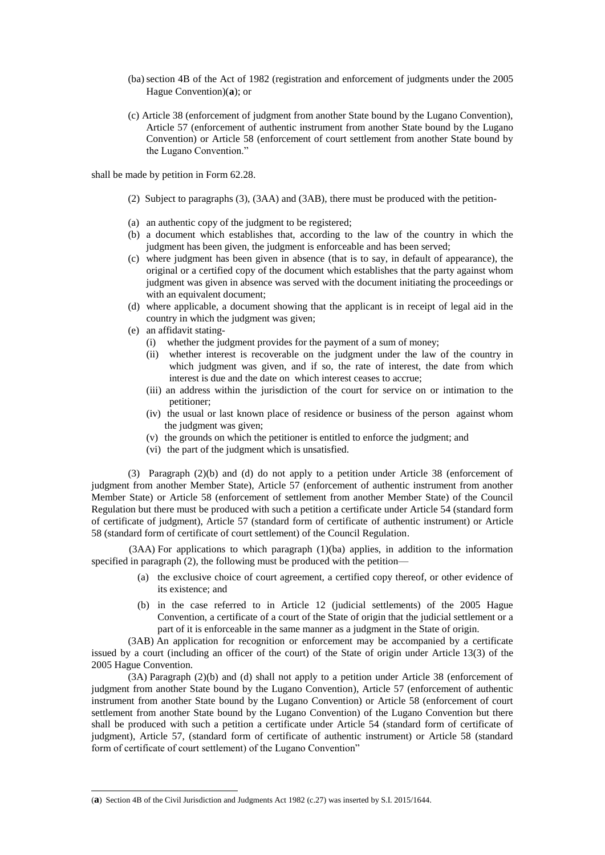- (ba) section 4B of the Act of 1982 (registration and enforcement of judgments under the 2005 Hague Convention)(**a**); or
- (c) Article 38 (enforcement of judgment from another State bound by the Lugano Convention), Article 57 (enforcement of authentic instrument from another State bound by the Lugano Convention) or Article 58 (enforcement of court settlement from another State bound by the Lugano Convention."

shall be made by petition in Form 62.28.

- (2) Subject to paragraphs (3), (3AA) and (3AB), there must be produced with the petition-
- (a) an authentic copy of the judgment to be registered;
- (b) a document which establishes that, according to the law of the country in which the judgment has been given, the judgment is enforceable and has been served;
- (c) where judgment has been given in absence (that is to say, in default of appearance), the original or a certified copy of the document which establishes that the party against whom judgment was given in absence was served with the document initiating the proceedings or with an equivalent document;
- (d) where applicable, a document showing that the applicant is in receipt of legal aid in the country in which the judgment was given;
- (e) an affidavit stating-
	- (i) whether the judgment provides for the payment of a sum of money;
	- (ii) whether interest is recoverable on the judgment under the law of the country in which judgment was given, and if so, the rate of interest, the date from which interest is due and the date on which interest ceases to accrue;
	- (iii) an address within the jurisdiction of the court for service on or intimation to the petitioner;
	- (iv) the usual or last known place of residence or business of the person against whom the judgment was given;
	- (v) the grounds on which the petitioner is entitled to enforce the judgment; and
	- (vi) the part of the judgment which is unsatisfied.

(3) Paragraph (2)(b) and (d) do not apply to a petition under Article 38 (enforcement of judgment from another Member State), Article 57 (enforcement of authentic instrument from another Member State) or Article 58 (enforcement of settlement from another Member State) of the Council Regulation but there must be produced with such a petition a certificate under Article 54 (standard form of certificate of judgment), Article 57 (standard form of certificate of authentic instrument) or Article 58 (standard form of certificate of court settlement) of the Council Regulation.

(3AA) For applications to which paragraph (1)(ba) applies, in addition to the information specified in paragraph (2), the following must be produced with the petition—

- (a) the exclusive choice of court agreement, a certified copy thereof, or other evidence of its existence; and
- (b) in the case referred to in Article 12 (judicial settlements) of the 2005 Hague Convention, a certificate of a court of the State of origin that the judicial settlement or a part of it is enforceable in the same manner as a judgment in the State of origin.

(3AB) An application for recognition or enforcement may be accompanied by a certificate issued by a court (including an officer of the court) of the State of origin under Article 13(3) of the 2005 Hague Convention.

(3A) Paragraph (2)(b) and (d) shall not apply to a petition under Article 38 (enforcement of judgment from another State bound by the Lugano Convention), Article 57 (enforcement of authentic instrument from another State bound by the Lugano Convention) or Article 58 (enforcement of court settlement from another State bound by the Lugano Convention) of the Lugano Convention but there shall be produced with such a petition a certificate under Article 54 (standard form of certificate of judgment), Article 57, (standard form of certificate of authentic instrument) or Article 58 (standard form of certificate of court settlement) of the Lugano Convention"

<sup>(</sup>**a**) Section 4B of the Civil Jurisdiction and Judgments Act 1982 (c.27) was inserted by S.I. 2015/1644.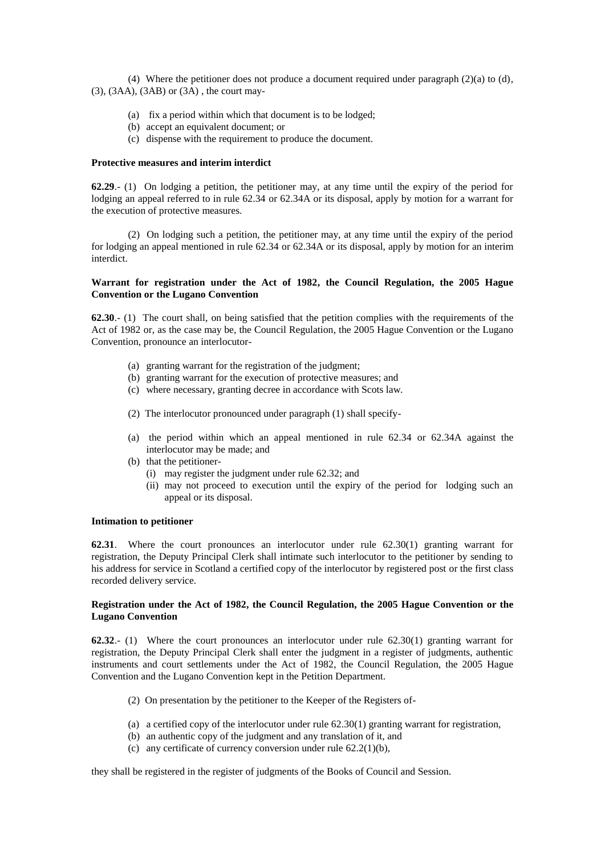(4) Where the petitioner does not produce a document required under paragraph  $(2)(a)$  to  $(d)$ ,  $(3)$ ,  $(3AA)$ ,  $(3AB)$  or  $(3A)$ , the court may-

- (a) fix a period within which that document is to be lodged;
- (b) accept an equivalent document; or
- (c) dispense with the requirement to produce the document.

# **Protective measures and interim interdict**

**62.29**.- (1) On lodging a petition, the petitioner may, at any time until the expiry of the period for lodging an appeal referred to in rule 62.34 or 62.34A or its disposal, apply by motion for a warrant for the execution of protective measures.

(2) On lodging such a petition, the petitioner may, at any time until the expiry of the period for lodging an appeal mentioned in rule 62.34 or 62.34A or its disposal, apply by motion for an interim interdict.

# **Warrant for registration under the Act of 1982, the Council Regulation, the 2005 Hague Convention or the Lugano Convention**

**62.30**.- (1) The court shall, on being satisfied that the petition complies with the requirements of the Act of 1982 or, as the case may be, the Council Regulation, the 2005 Hague Convention or the Lugano Convention, pronounce an interlocutor-

- (a) granting warrant for the registration of the judgment;
- (b) granting warrant for the execution of protective measures; and
- (c) where necessary, granting decree in accordance with Scots law.
- (2) The interlocutor pronounced under paragraph (1) shall specify-
- (a) the period within which an appeal mentioned in rule 62.34 or 62.34A against the interlocutor may be made; and
- (b) that the petitioner-
	- (i) may register the judgment under rule 62.32; and
	- (ii) may not proceed to execution until the expiry of the period for lodging such an appeal or its disposal.

#### **Intimation to petitioner**

**62.31**. Where the court pronounces an interlocutor under rule 62.30(1) granting warrant for registration, the Deputy Principal Clerk shall intimate such interlocutor to the petitioner by sending to his address for service in Scotland a certified copy of the interlocutor by registered post or the first class recorded delivery service.

# **Registration under the Act of 1982, the Council Regulation, the 2005 Hague Convention or the Lugano Convention**

**62.32**.- (1) Where the court pronounces an interlocutor under rule 62.30(1) granting warrant for registration, the Deputy Principal Clerk shall enter the judgment in a register of judgments, authentic instruments and court settlements under the Act of 1982, the Council Regulation, the 2005 Hague Convention and the Lugano Convention kept in the Petition Department.

- (2) On presentation by the petitioner to the Keeper of the Registers of-
- (a) a certified copy of the interlocutor under rule 62.30(1) granting warrant for registration,
- (b) an authentic copy of the judgment and any translation of it, and
- (c) any certificate of currency conversion under rule  $62.2(1)(b)$ ,

they shall be registered in the register of judgments of the Books of Council and Session.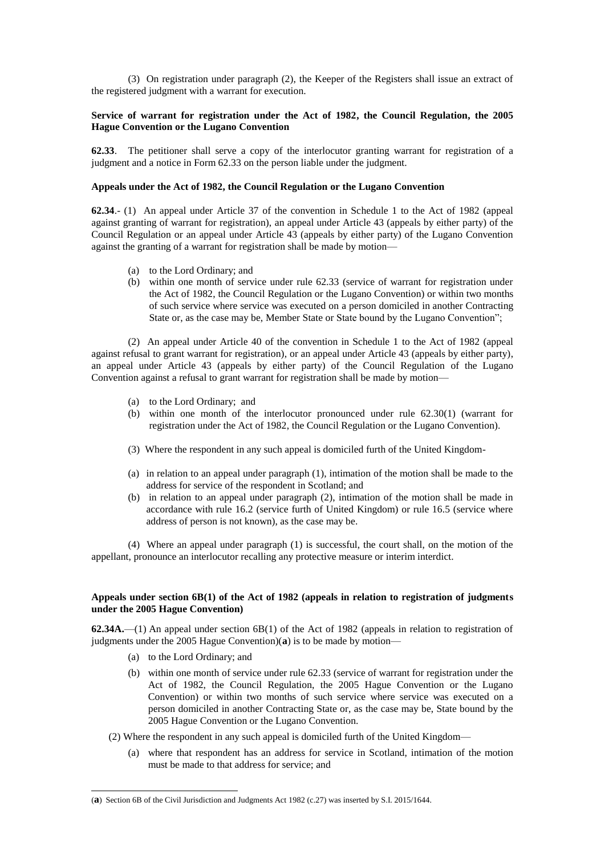(3) On registration under paragraph (2), the Keeper of the Registers shall issue an extract of the registered judgment with a warrant for execution.

# **Service of warrant for registration under the Act of 1982, the Council Regulation, the 2005 Hague Convention or the Lugano Convention**

**62.33**. The petitioner shall serve a copy of the interlocutor granting warrant for registration of a judgment and a notice in Form 62.33 on the person liable under the judgment.

## **Appeals under the Act of 1982, the Council Regulation or the Lugano Convention**

**62.34**.- (1) An appeal under Article 37 of the convention in Schedule 1 to the Act of 1982 (appeal against granting of warrant for registration), an appeal under Article 43 (appeals by either party) of the Council Regulation or an appeal under Article 43 (appeals by either party) of the Lugano Convention against the granting of a warrant for registration shall be made by motion—

- (a) to the Lord Ordinary; and
- (b) within one month of service under rule 62.33 (service of warrant for registration under the Act of 1982, the Council Regulation or the Lugano Convention) or within two months of such service where service was executed on a person domiciled in another Contracting State or, as the case may be, Member State or State bound by the Lugano Convention";

(2) An appeal under Article 40 of the convention in Schedule 1 to the Act of 1982 (appeal against refusal to grant warrant for registration), or an appeal under Article 43 (appeals by either party), an appeal under Article 43 (appeals by either party) of the Council Regulation of the Lugano Convention against a refusal to grant warrant for registration shall be made by motion—

- (a) to the Lord Ordinary; and
- (b) within one month of the interlocutor pronounced under rule 62.30(1) (warrant for registration under the Act of 1982, the Council Regulation or the Lugano Convention).
- (3) Where the respondent in any such appeal is domiciled furth of the United Kingdom-
- (a) in relation to an appeal under paragraph (1), intimation of the motion shall be made to the address for service of the respondent in Scotland; and
- (b) in relation to an appeal under paragraph (2), intimation of the motion shall be made in accordance with rule 16.2 (service furth of United Kingdom) or rule 16.5 (service where address of person is not known), as the case may be.

(4) Where an appeal under paragraph (1) is successful, the court shall, on the motion of the appellant, pronounce an interlocutor recalling any protective measure or interim interdict.

# **Appeals under section 6B(1) of the Act of 1982 (appeals in relation to registration of judgments under the 2005 Hague Convention)**

**62.34A.**—(1) An appeal under section 6B(1) of the Act of 1982 (appeals in relation to registration of judgments under the 2005 Hague Convention)(**a**) is to be made by motion—

(a) to the Lord Ordinary; and

- (b) within one month of service under rule 62.33 (service of warrant for registration under the Act of 1982, the Council Regulation, the 2005 Hague Convention or the Lugano Convention) or within two months of such service where service was executed on a person domiciled in another Contracting State or, as the case may be, State bound by the 2005 Hague Convention or the Lugano Convention.
- (2) Where the respondent in any such appeal is domiciled furth of the United Kingdom—
	- (a) where that respondent has an address for service in Scotland, intimation of the motion must be made to that address for service; and

<sup>(</sup>**a**) Section 6B of the Civil Jurisdiction and Judgments Act 1982 (c.27) was inserted by S.I. 2015/1644.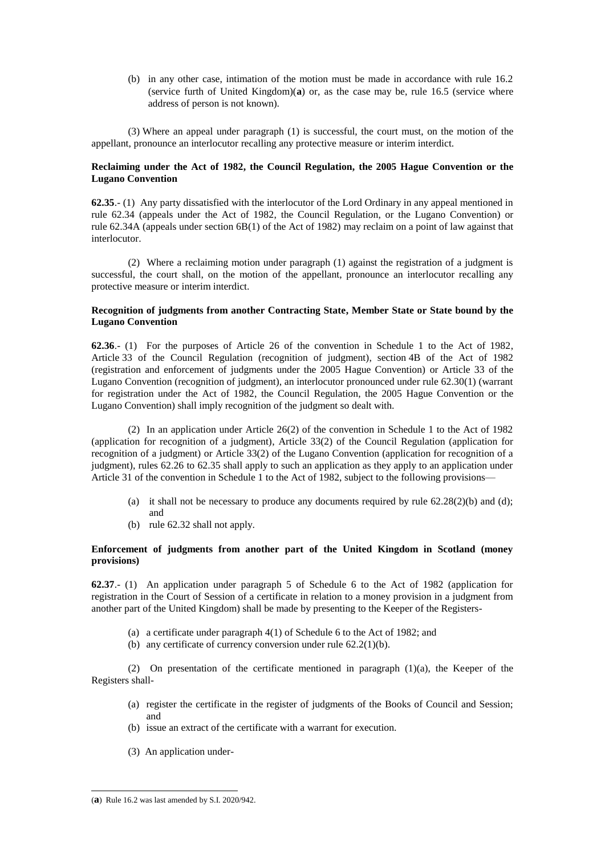(b) in any other case, intimation of the motion must be made in accordance with rule 16.2 (service furth of United Kingdom)(**a**) or, as the case may be, rule 16.5 (service where address of person is not known).

(3) Where an appeal under paragraph (1) is successful, the court must, on the motion of the appellant, pronounce an interlocutor recalling any protective measure or interim interdict.

# **Reclaiming under the Act of 1982, the Council Regulation, the 2005 Hague Convention or the Lugano Convention**

**62.35**.- (1) Any party dissatisfied with the interlocutor of the Lord Ordinary in any appeal mentioned in rule 62.34 (appeals under the Act of 1982, the Council Regulation, or the Lugano Convention) or rule 62.34A (appeals under section 6B(1) of the Act of 1982) may reclaim on a point of law against that interlocutor.

(2) Where a reclaiming motion under paragraph (1) against the registration of a judgment is successful, the court shall, on the motion of the appellant, pronounce an interlocutor recalling any protective measure or interim interdict.

# **Recognition of judgments from another Contracting State, Member State or State bound by the Lugano Convention**

**62.36**.- (1) For the purposes of Article 26 of the convention in Schedule 1 to the Act of 1982, Article 33 of the Council Regulation (recognition of judgment), section 4B of the Act of 1982 (registration and enforcement of judgments under the 2005 Hague Convention) or Article 33 of the Lugano Convention (recognition of judgment), an interlocutor pronounced under rule 62.30(1) (warrant for registration under the Act of 1982, the Council Regulation, the 2005 Hague Convention or the Lugano Convention) shall imply recognition of the judgment so dealt with.

(2) In an application under Article 26(2) of the convention in Schedule 1 to the Act of 1982 (application for recognition of a judgment), Article 33(2) of the Council Regulation (application for recognition of a judgment) or Article 33(2) of the Lugano Convention (application for recognition of a judgment), rules 62.26 to 62.35 shall apply to such an application as they apply to an application under Article 31 of the convention in Schedule 1 to the Act of 1982, subject to the following provisions—

- (a) it shall not be necessary to produce any documents required by rule  $62.28(2)(b)$  and (d); and
- (b) rule 62.32 shall not apply.

# **Enforcement of judgments from another part of the United Kingdom in Scotland (money provisions)**

**62.37**.- (1) An application under paragraph 5 of Schedule 6 to the Act of 1982 (application for registration in the Court of Session of a certificate in relation to a money provision in a judgment from another part of the United Kingdom) shall be made by presenting to the Keeper of the Registers-

- (a) a certificate under paragraph 4(1) of Schedule 6 to the Act of 1982; and
- (b) any certificate of currency conversion under rule 62.2(1)(b).

(2) On presentation of the certificate mentioned in paragraph (1)(a), the Keeper of the Registers shall-

- (a) register the certificate in the register of judgments of the Books of Council and Session; and
- (b) issue an extract of the certificate with a warrant for execution.
- (3) An application under-

<sup>(</sup>**a**) Rule 16.2 was last amended by S.I. 2020/942.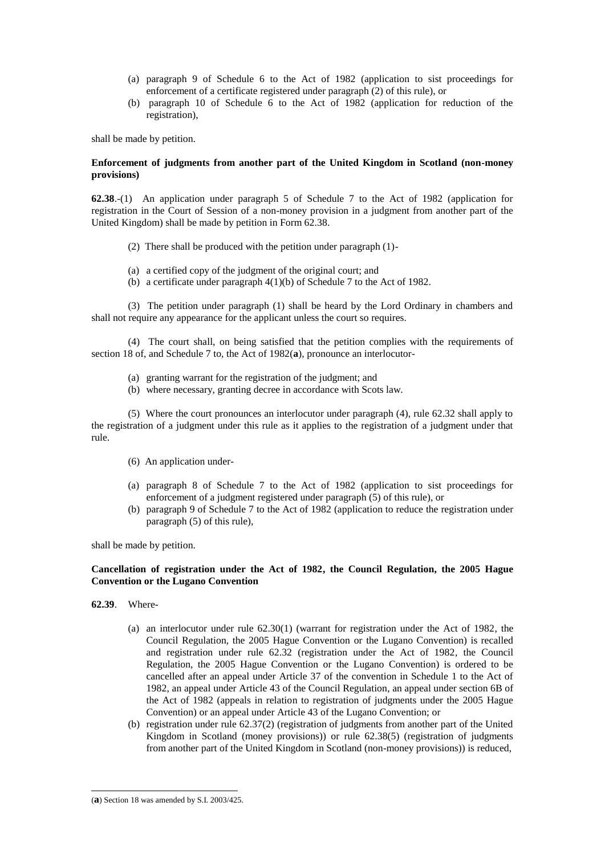- (a) paragraph 9 of Schedule 6 to the Act of 1982 (application to sist proceedings for enforcement of a certificate registered under paragraph (2) of this rule), or
- (b) paragraph 10 of Schedule 6 to the Act of 1982 (application for reduction of the registration),

shall be made by petition.

# **Enforcement of judgments from another part of the United Kingdom in Scotland (non-money provisions)**

**62.38**.-(1) An application under paragraph 5 of Schedule 7 to the Act of 1982 (application for registration in the Court of Session of a non-money provision in a judgment from another part of the United Kingdom) shall be made by petition in Form 62.38.

- (2) There shall be produced with the petition under paragraph (1)-
- (a) a certified copy of the judgment of the original court; and
- (b) a certificate under paragraph 4(1)(b) of Schedule 7 to the Act of 1982.

(3) The petition under paragraph (1) shall be heard by the Lord Ordinary in chambers and shall not require any appearance for the applicant unless the court so requires.

(4) The court shall, on being satisfied that the petition complies with the requirements of section 18 of, and Schedule 7 to, the Act of 1982(**a**), pronounce an interlocutor-

- (a) granting warrant for the registration of the judgment; and
- (b) where necessary, granting decree in accordance with Scots law.

(5) Where the court pronounces an interlocutor under paragraph (4), rule 62.32 shall apply to the registration of a judgment under this rule as it applies to the registration of a judgment under that rule.

- (6) An application under-
- (a) paragraph 8 of Schedule 7 to the Act of 1982 (application to sist proceedings for enforcement of a judgment registered under paragraph (5) of this rule), or
- (b) paragraph 9 of Schedule 7 to the Act of 1982 (application to reduce the registration under paragraph (5) of this rule),

shall be made by petition.

## **Cancellation of registration under the Act of 1982, the Council Regulation, the 2005 Hague Convention or the Lugano Convention**

**62.39**. Where-

- (a) an interlocutor under rule 62.30(1) (warrant for registration under the Act of 1982, the Council Regulation, the 2005 Hague Convention or the Lugano Convention) is recalled and registration under rule 62.32 (registration under the Act of 1982, the Council Regulation, the 2005 Hague Convention or the Lugano Convention) is ordered to be cancelled after an appeal under Article 37 of the convention in Schedule 1 to the Act of 1982, an appeal under Article 43 of the Council Regulation, an appeal under section 6B of the Act of 1982 (appeals in relation to registration of judgments under the 2005 Hague Convention) or an appeal under Article 43 of the Lugano Convention; or
- (b) registration under rule 62.37(2) (registration of judgments from another part of the United Kingdom in Scotland (money provisions)) or rule 62.38(5) (registration of judgments from another part of the United Kingdom in Scotland (non-money provisions)) is reduced,

<sup>(</sup>**a**) Section 18 was amended by S.I. 2003/425.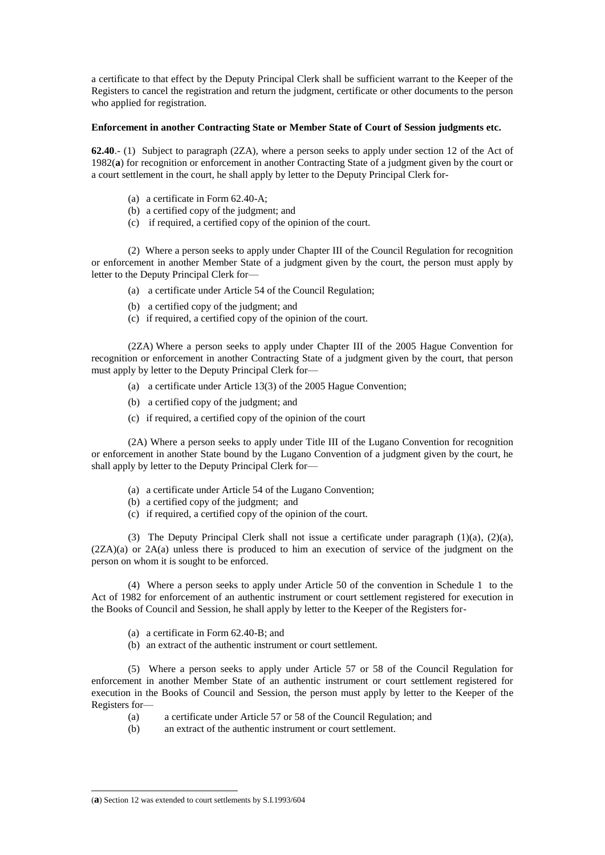a certificate to that effect by the Deputy Principal Clerk shall be sufficient warrant to the Keeper of the Registers to cancel the registration and return the judgment, certificate or other documents to the person who applied for registration.

# **Enforcement in another Contracting State or Member State of Court of Session judgments etc.**

**62.40**.- (1) Subject to paragraph (2ZA), where a person seeks to apply under section 12 of the Act of 1982(**a**) for recognition or enforcement in another Contracting State of a judgment given by the court or a court settlement in the court, he shall apply by letter to the Deputy Principal Clerk for-

- (a) a certificate in Form 62.40-A;
- (b) a certified copy of the judgment; and
- (c) if required, a certified copy of the opinion of the court.

(2) Where a person seeks to apply under Chapter III of the Council Regulation for recognition or enforcement in another Member State of a judgment given by the court, the person must apply by letter to the Deputy Principal Clerk for—

- (a) a certificate under Article 54 of the Council Regulation;
- (b) a certified copy of the judgment; and
- (c) if required, a certified copy of the opinion of the court.

(2ZA) Where a person seeks to apply under Chapter III of the 2005 Hague Convention for recognition or enforcement in another Contracting State of a judgment given by the court, that person must apply by letter to the Deputy Principal Clerk for—

- (a) a certificate under Article 13(3) of the 2005 Hague Convention;
- (b) a certified copy of the judgment; and
- (c) if required, a certified copy of the opinion of the court

(2A) Where a person seeks to apply under Title III of the Lugano Convention for recognition or enforcement in another State bound by the Lugano Convention of a judgment given by the court, he shall apply by letter to the Deputy Principal Clerk for—

- (a) a certificate under Article 54 of the Lugano Convention;
- (b) a certified copy of the judgment; and
- (c) if required, a certified copy of the opinion of the court.

(3) The Deputy Principal Clerk shall not issue a certificate under paragraph  $(1)(a)$ ,  $(2)(a)$ , (2ZA)(a) or 2A(a) unless there is produced to him an execution of service of the judgment on the person on whom it is sought to be enforced.

(4) Where a person seeks to apply under Article 50 of the convention in Schedule 1 to the Act of 1982 for enforcement of an authentic instrument or court settlement registered for execution in the Books of Council and Session, he shall apply by letter to the Keeper of the Registers for-

- (a) a certificate in Form 62.40-B; and
- (b) an extract of the authentic instrument or court settlement.

(5) Where a person seeks to apply under Article 57 or 58 of the Council Regulation for enforcement in another Member State of an authentic instrument or court settlement registered for execution in the Books of Council and Session, the person must apply by letter to the Keeper of the Registers for—

- (a) a certificate under Article 57 or 58 of the Council Regulation; and
- (b) an extract of the authentic instrument or court settlement.

<sup>-</sup>(**a**) Section 12 was extended to court settlements by S.I.1993/604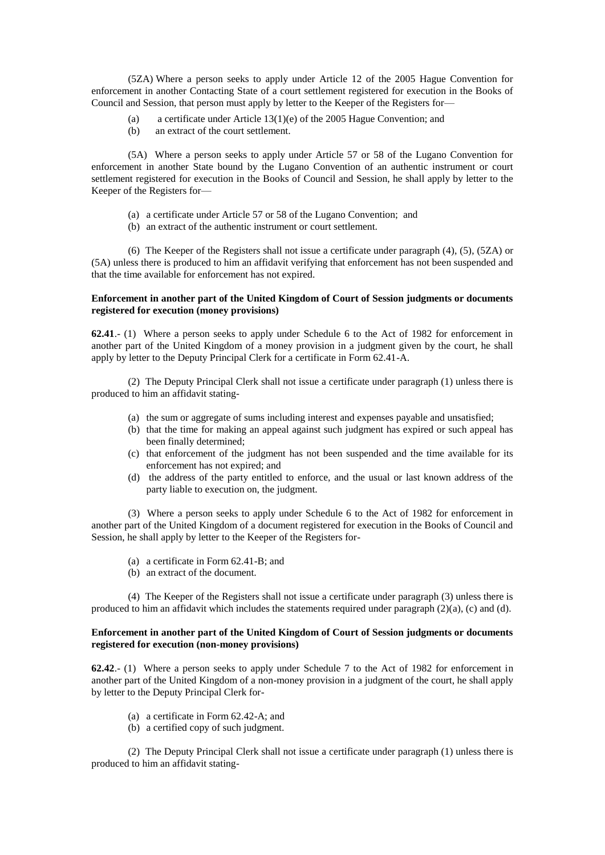(5ZA) Where a person seeks to apply under Article 12 of the 2005 Hague Convention for enforcement in another Contacting State of a court settlement registered for execution in the Books of Council and Session, that person must apply by letter to the Keeper of the Registers for—

- (a) a certificate under Article 13(1)(e) of the 2005 Hague Convention; and
- (b) an extract of the court settlement.

(5A) Where a person seeks to apply under Article 57 or 58 of the Lugano Convention for enforcement in another State bound by the Lugano Convention of an authentic instrument or court settlement registered for execution in the Books of Council and Session, he shall apply by letter to the Keeper of the Registers for—

- (a) a certificate under Article 57 or 58 of the Lugano Convention; and
- (b) an extract of the authentic instrument or court settlement.

(6) The Keeper of the Registers shall not issue a certificate under paragraph (4), (5), (5ZA) or (5A) unless there is produced to him an affidavit verifying that enforcement has not been suspended and that the time available for enforcement has not expired.

# **Enforcement in another part of the United Kingdom of Court of Session judgments or documents registered for execution (money provisions)**

**62.41**.- (1) Where a person seeks to apply under Schedule 6 to the Act of 1982 for enforcement in another part of the United Kingdom of a money provision in a judgment given by the court, he shall apply by letter to the Deputy Principal Clerk for a certificate in Form 62.41-A.

(2) The Deputy Principal Clerk shall not issue a certificate under paragraph (1) unless there is produced to him an affidavit stating-

- (a) the sum or aggregate of sums including interest and expenses payable and unsatisfied;
- (b) that the time for making an appeal against such judgment has expired or such appeal has been finally determined;
- (c) that enforcement of the judgment has not been suspended and the time available for its enforcement has not expired; and
- (d) the address of the party entitled to enforce, and the usual or last known address of the party liable to execution on, the judgment.

(3) Where a person seeks to apply under Schedule 6 to the Act of 1982 for enforcement in another part of the United Kingdom of a document registered for execution in the Books of Council and Session, he shall apply by letter to the Keeper of the Registers for-

- (a) a certificate in Form 62.41-B; and
- (b) an extract of the document.

(4) The Keeper of the Registers shall not issue a certificate under paragraph (3) unless there is produced to him an affidavit which includes the statements required under paragraph  $(2)(a)$ ,  $(c)$  and  $(d)$ .

## **Enforcement in another part of the United Kingdom of Court of Session judgments or documents registered for execution (non-money provisions)**

**62.42**.- (1) Where a person seeks to apply under Schedule 7 to the Act of 1982 for enforcement in another part of the United Kingdom of a non-money provision in a judgment of the court, he shall apply by letter to the Deputy Principal Clerk for-

- (a) a certificate in Form 62.42-A; and
- (b) a certified copy of such judgment.

(2) The Deputy Principal Clerk shall not issue a certificate under paragraph (1) unless there is produced to him an affidavit stating-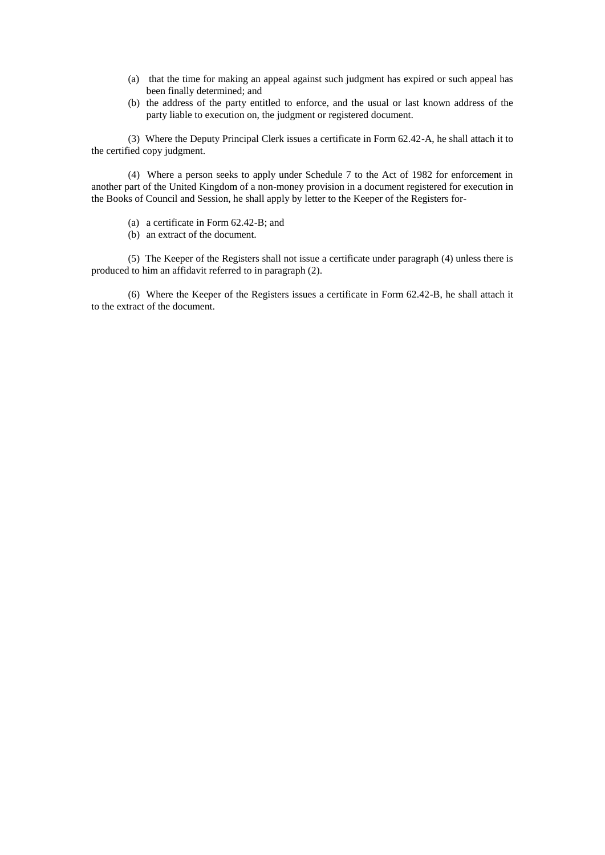- (a) that the time for making an appeal against such judgment has expired or such appeal has been finally determined; and
- (b) the address of the party entitled to enforce, and the usual or last known address of the party liable to execution on, the judgment or registered document.

(3) Where the Deputy Principal Clerk issues a certificate in Form 62.42-A, he shall attach it to the certified copy judgment.

(4) Where a person seeks to apply under Schedule 7 to the Act of 1982 for enforcement in another part of the United Kingdom of a non-money provision in a document registered for execution in the Books of Council and Session, he shall apply by letter to the Keeper of the Registers for-

- (a) a certificate in Form 62.42-B; and
- (b) an extract of the document.

(5) The Keeper of the Registers shall not issue a certificate under paragraph (4) unless there is produced to him an affidavit referred to in paragraph (2).

(6) Where the Keeper of the Registers issues a certificate in Form 62.42-B, he shall attach it to the extract of the document.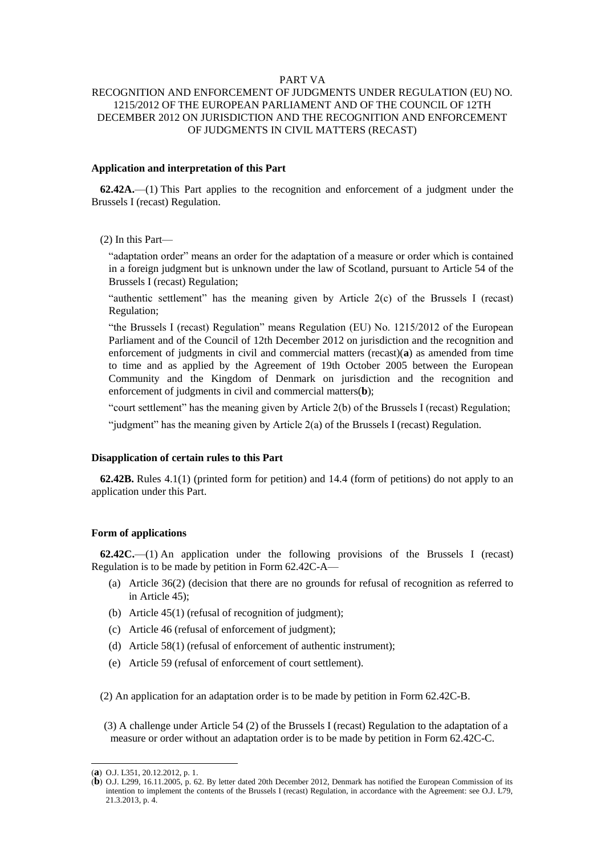# PART VA

# RECOGNITION AND ENFORCEMENT OF JUDGMENTS UNDER REGULATION (EU) NO. 1215/2012 OF THE EUROPEAN PARLIAMENT AND OF THE COUNCIL OF 12TH DECEMBER 2012 ON JURISDICTION AND THE RECOGNITION AND ENFORCEMENT OF JUDGMENTS IN CIVIL MATTERS (RECAST)

# **Application and interpretation of this Part**

**62.42A.**—(1) This Part applies to the recognition and enforcement of a judgment under the Brussels I (recast) Regulation.

(2) In this Part—

"adaptation order" means an order for the adaptation of a measure or order which is contained in a foreign judgment but is unknown under the law of Scotland, pursuant to Article 54 of the Brussels I (recast) Regulation;

"authentic settlement" has the meaning given by Article 2(c) of the Brussels I (recast) Regulation;

"the Brussels I (recast) Regulation" means Regulation (EU) No. 1215/2012 of the European Parliament and of the Council of 12th December 2012 on jurisdiction and the recognition and enforcement of judgments in civil and commercial matters (recast)(**a**) as amended from time to time and as applied by the Agreement of 19th October 2005 between the European Community and the Kingdom of Denmark on jurisdiction and the recognition and enforcement of judgments in civil and commercial matters(**b**);

"court settlement" has the meaning given by Article 2(b) of the Brussels I (recast) Regulation;

"judgment" has the meaning given by Article 2(a) of the Brussels I (recast) Regulation.

#### **Disapplication of certain rules to this Part**

**62.42B.** Rules 4.1(1) (printed form for petition) and 14.4 (form of petitions) do not apply to an application under this Part.

## **Form of applications**

**62.42C.**—(1) An application under the following provisions of the Brussels I (recast) Regulation is to be made by petition in Form 62.42C-A—

- (a) Article 36(2) (decision that there are no grounds for refusal of recognition as referred to in Article 45);
- (b) Article 45(1) (refusal of recognition of judgment);
- (c) Article 46 (refusal of enforcement of judgment);
- (d) Article 58(1) (refusal of enforcement of authentic instrument);
- (e) Article 59 (refusal of enforcement of court settlement).

(2) An application for an adaptation order is to be made by petition in Form 62.42C-B.

(3) A challenge under Article 54 (2) of the Brussels I (recast) Regulation to the adaptation of a measure or order without an adaptation order is to be made by petition in Form 62.42C-C.

<sup>(</sup>**a**) O.J. L351, 20.12.2012, p. 1.

<sup>(</sup>**b**) O.J. L299, 16.11.2005, p. 62. By letter dated 20th December 2012, Denmark has notified the European Commission of its intention to implement the contents of the Brussels I (recast) Regulation, in accordance with the Agreement: see O.J. L79, 21.3.2013, p. 4.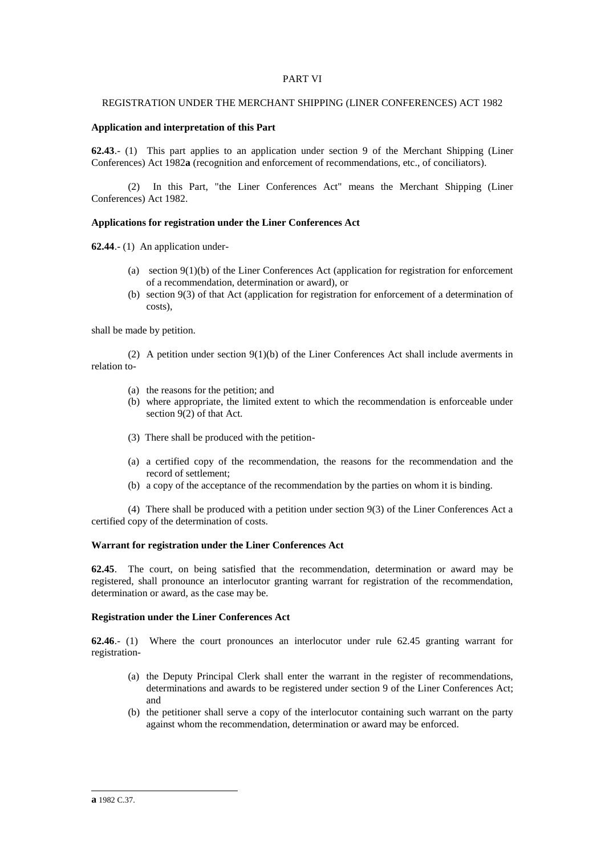# PART VI

# REGISTRATION UNDER THE MERCHANT SHIPPING (LINER CONFERENCES) ACT 1982

# **Application and interpretation of this Part**

**62.43**.- (1) This part applies to an application under section 9 of the Merchant Shipping (Liner Conferences) Act 1982**a** (recognition and enforcement of recommendations, etc., of conciliators).

(2) In this Part, "the Liner Conferences Act" means the Merchant Shipping (Liner Conferences) Act 1982.

## **Applications for registration under the Liner Conferences Act**

**62.44**.- (1) An application under-

- (a) section 9(1)(b) of the Liner Conferences Act (application for registration for enforcement of a recommendation, determination or award), or
- (b) section 9(3) of that Act (application for registration for enforcement of a determination of costs),

shall be made by petition.

(2) A petition under section 9(1)(b) of the Liner Conferences Act shall include averments in relation to-

- (a) the reasons for the petition; and
- (b) where appropriate, the limited extent to which the recommendation is enforceable under section 9(2) of that Act.
- (3) There shall be produced with the petition-
- (a) a certified copy of the recommendation, the reasons for the recommendation and the record of settlement;
- (b) a copy of the acceptance of the recommendation by the parties on whom it is binding.

(4) There shall be produced with a petition under section 9(3) of the Liner Conferences Act a certified copy of the determination of costs.

### **Warrant for registration under the Liner Conferences Act**

**62.45**. The court, on being satisfied that the recommendation, determination or award may be registered, shall pronounce an interlocutor granting warrant for registration of the recommendation, determination or award, as the case may be.

## **Registration under the Liner Conferences Act**

**62.46**.- (1) Where the court pronounces an interlocutor under rule 62.45 granting warrant for registration-

- (a) the Deputy Principal Clerk shall enter the warrant in the register of recommendations, determinations and awards to be registered under section 9 of the Liner Conferences Act; and
- (b) the petitioner shall serve a copy of the interlocutor containing such warrant on the party against whom the recommendation, determination or award may be enforced.

**a** 1982 C.37.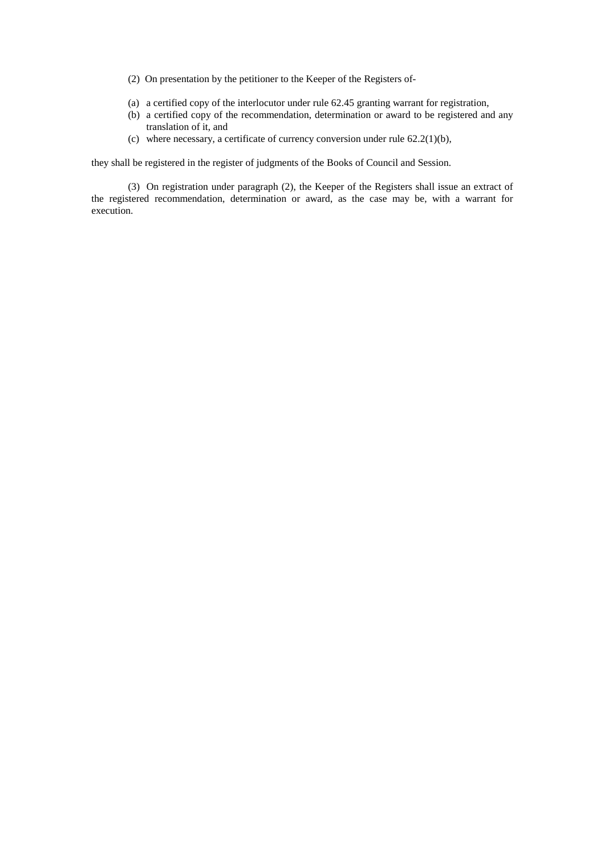- (2) On presentation by the petitioner to the Keeper of the Registers of-
- (a) a certified copy of the interlocutor under rule 62.45 granting warrant for registration,
- (b) a certified copy of the recommendation, determination or award to be registered and any translation of it, and
- (c) where necessary, a certificate of currency conversion under rule  $62.2(1)(b)$ ,

they shall be registered in the register of judgments of the Books of Council and Session.

(3) On registration under paragraph (2), the Keeper of the Registers shall issue an extract of the registered recommendation, determination or award, as the case may be, with a warrant for execution.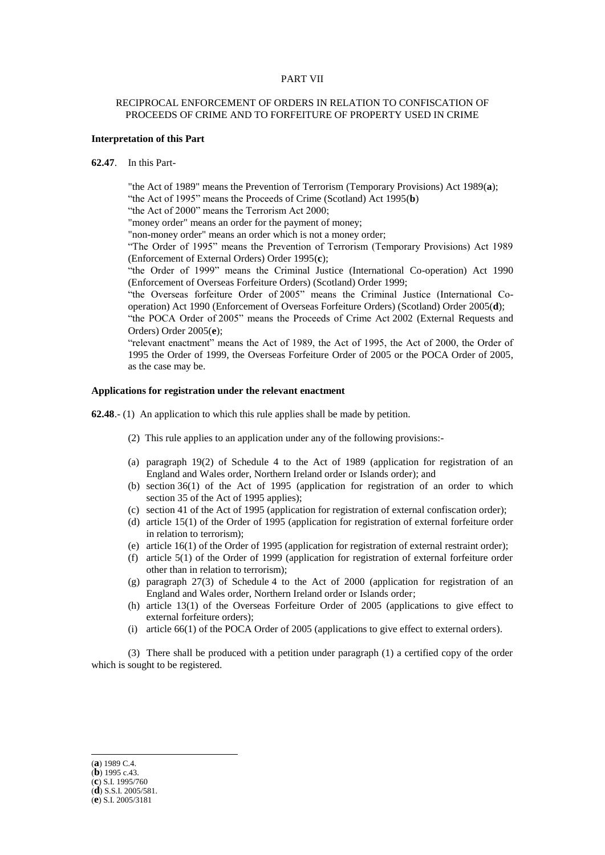## PART VII

# RECIPROCAL ENFORCEMENT OF ORDERS IN RELATION TO CONFISCATION OF PROCEEDS OF CRIME AND TO FORFEITURE OF PROPERTY USED IN CRIME

#### **Interpretation of this Part**

## **62.47**. In this Part-

"the Act of 1989" means the Prevention of Terrorism (Temporary Provisions) Act 1989(**a**); "the Act of 1995" means the Proceeds of Crime (Scotland) Act 1995(**b**)

"the Act of 2000" means the Terrorism Act 2000;

"money order" means an order for the payment of money;

"non-money order" means an order which is not a money order;

"The Order of 1995" means the Prevention of Terrorism (Temporary Provisions) Act 1989 (Enforcement of External Orders) Order 1995(**c**);

"the Order of 1999" means the Criminal Justice (International Co-operation) Act 1990 (Enforcement of Overseas Forfeiture Orders) (Scotland) Order 1999;

"the Overseas forfeiture Order of 2005" means the Criminal Justice (International Cooperation) Act 1990 (Enforcement of Overseas Forfeiture Orders) (Scotland) Order 2005(**d**);

"the POCA Order of 2005" means the Proceeds of Crime Act 2002 (External Requests and Orders) Order 2005(**e**);

"relevant enactment" means the Act of 1989, the Act of 1995, the Act of 2000, the Order of 1995 the Order of 1999, the Overseas Forfeiture Order of 2005 or the POCA Order of 2005, as the case may be.

#### **Applications for registration under the relevant enactment**

**62.48**.- (1) An application to which this rule applies shall be made by petition.

- (2) This rule applies to an application under any of the following provisions:-
- (a) paragraph 19(2) of Schedule 4 to the Act of 1989 (application for registration of an England and Wales order, Northern Ireland order or Islands order); and
- (b) section 36(1) of the Act of 1995 (application for registration of an order to which section 35 of the Act of 1995 applies);
- (c) section 41 of the Act of 1995 (application for registration of external confiscation order);
- (d) article 15(1) of the Order of 1995 (application for registration of external forfeiture order in relation to terrorism);
- (e) article 16(1) of the Order of 1995 (application for registration of external restraint order);
- (f) article 5(1) of the Order of 1999 (application for registration of external forfeiture order other than in relation to terrorism);
- (g) paragraph 27(3) of Schedule 4 to the Act of 2000 (application for registration of an England and Wales order, Northern Ireland order or Islands order;
- (h) article 13(1) of the Overseas Forfeiture Order of 2005 (applications to give effect to external forfeiture orders);
- (i) article 66(1) of the POCA Order of 2005 (applications to give effect to external orders).

(3) There shall be produced with a petition under paragraph (1) a certified copy of the order which is sought to be registered.

(**a**) 1989 C.4. (**b**) 1995 c.43. (**c**) S.I. 1995/760 (**d**) S.S.I. 2005/581. (**e**) S.I. 2005/3181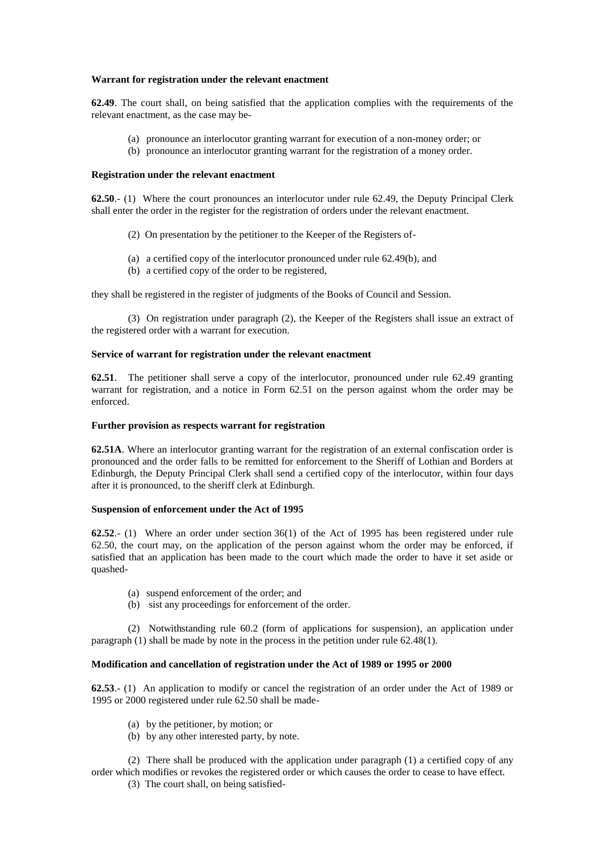# **Warrant for registration under the relevant enactment**

**62.49**. The court shall, on being satisfied that the application complies with the requirements of the relevant enactment, as the case may be-

- (a) pronounce an interlocutor granting warrant for execution of a non-money order; or
- (b) pronounce an interlocutor granting warrant for the registration of a money order.

## **Registration under the relevant enactment**

**62.50**.- (1) Where the court pronounces an interlocutor under rule 62.49, the Deputy Principal Clerk shall enter the order in the register for the registration of orders under the relevant enactment.

- (2) On presentation by the petitioner to the Keeper of the Registers of-
- (a) a certified copy of the interlocutor pronounced under rule 62.49(b), and
- (b) a certified copy of the order to be registered,

they shall be registered in the register of judgments of the Books of Council and Session.

(3) On registration under paragraph (2), the Keeper of the Registers shall issue an extract of the registered order with a warrant for execution.

# **Service of warrant for registration under the relevant enactment**

**62.51**. The petitioner shall serve a copy of the interlocutor, pronounced under rule 62.49 granting warrant for registration, and a notice in Form 62.51 on the person against whom the order may be enforced.

## **Further provision as respects warrant for registration**

**62.51A**. Where an interlocutor granting warrant for the registration of an external confiscation order is pronounced and the order falls to be remitted for enforcement to the Sheriff of Lothian and Borders at Edinburgh, the Deputy Principal Clerk shall send a certified copy of the interlocutor, within four days after it is pronounced, to the sheriff clerk at Edinburgh.

## **Suspension of enforcement under the Act of 1995**

**62.52**.- (1) Where an order under section 36(1) of the Act of 1995 has been registered under rule 62.50, the court may, on the application of the person against whom the order may be enforced, if satisfied that an application has been made to the court which made the order to have it set aside or quashed-

- (a) suspend enforcement of the order; and
- (b) sist any proceedings for enforcement of the order.

(2) Notwithstanding rule 60.2 (form of applications for suspension), an application under paragraph (1) shall be made by note in the process in the petition under rule 62.48(1).

# **Modification and cancellation of registration under the Act of 1989 or 1995 or 2000**

**62.53**.- (1) An application to modify or cancel the registration of an order under the Act of 1989 or 1995 or 2000 registered under rule 62.50 shall be made-

- (a) by the petitioner, by motion; or
- (b) by any other interested party, by note.

(2) There shall be produced with the application under paragraph (1) a certified copy of any order which modifies or revokes the registered order or which causes the order to cease to have effect.

(3) The court shall, on being satisfied-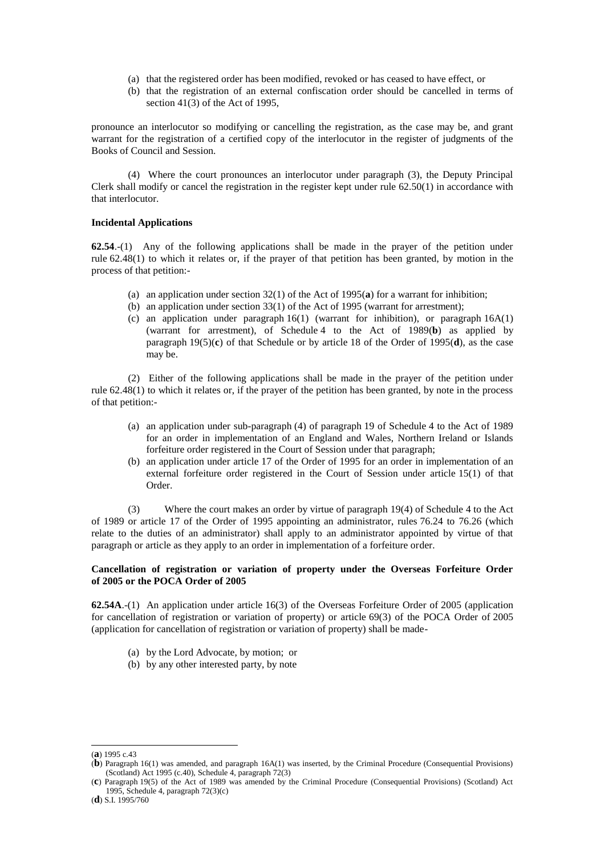- (a) that the registered order has been modified, revoked or has ceased to have effect, or
- (b) that the registration of an external confiscation order should be cancelled in terms of section 41(3) of the Act of 1995,

pronounce an interlocutor so modifying or cancelling the registration, as the case may be, and grant warrant for the registration of a certified copy of the interlocutor in the register of judgments of the Books of Council and Session.

(4) Where the court pronounces an interlocutor under paragraph (3), the Deputy Principal Clerk shall modify or cancel the registration in the register kept under rule  $62.50(1)$  in accordance with that interlocutor.

## **Incidental Applications**

**62.54**.-(1) Any of the following applications shall be made in the prayer of the petition under rule 62.48(1) to which it relates or, if the prayer of that petition has been granted, by motion in the process of that petition:-

- (a) an application under section 32(1) of the Act of 1995(**a**) for a warrant for inhibition;
- (b) an application under section 33(1) of the Act of 1995 (warrant for arrestment);
- (c) an application under paragraph  $16(1)$  (warrant for inhibition), or paragraph  $16A(1)$ (warrant for arrestment), of Schedule 4 to the Act of 1989(**b**) as applied by paragraph 19(5)(**c**) of that Schedule or by article 18 of the Order of 1995(**d**), as the case may be.

(2) Either of the following applications shall be made in the prayer of the petition under rule 62.48(1) to which it relates or, if the prayer of the petition has been granted, by note in the process of that petition:-

- (a) an application under sub-paragraph (4) of paragraph 19 of Schedule 4 to the Act of 1989 for an order in implementation of an England and Wales, Northern Ireland or Islands forfeiture order registered in the Court of Session under that paragraph;
- (b) an application under article 17 of the Order of 1995 for an order in implementation of an external forfeiture order registered in the Court of Session under article 15(1) of that Order.

(3) Where the court makes an order by virtue of paragraph 19(4) of Schedule 4 to the Act of 1989 or article 17 of the Order of 1995 appointing an administrator, rules 76.24 to 76.26 (which relate to the duties of an administrator) shall apply to an administrator appointed by virtue of that paragraph or article as they apply to an order in implementation of a forfeiture order.

# **Cancellation of registration or variation of property under the Overseas Forfeiture Order of 2005 or the POCA Order of 2005**

**62.54A**.-(1) An application under article 16(3) of the Overseas Forfeiture Order of 2005 (application for cancellation of registration or variation of property) or article 69(3) of the POCA Order of 2005 (application for cancellation of registration or variation of property) shall be made-

- (a) by the Lord Advocate, by motion; or
- (b) by any other interested party, by note

<sup>(</sup>**a**) 1995 c.43

<sup>(</sup>**b**) Paragraph 16(1) was amended, and paragraph 16A(1) was inserted, by the Criminal Procedure (Consequential Provisions) (Scotland) Act 1995 (c.40), Schedule 4, paragraph  $72(3)$ 

<sup>(</sup>**c**) Paragraph 19(5) of the Act of 1989 was amended by the Criminal Procedure (Consequential Provisions) (Scotland) Act 1995, Schedule 4, paragraph 72(3)(c)

<sup>(</sup>**d**) S.I. 1995/760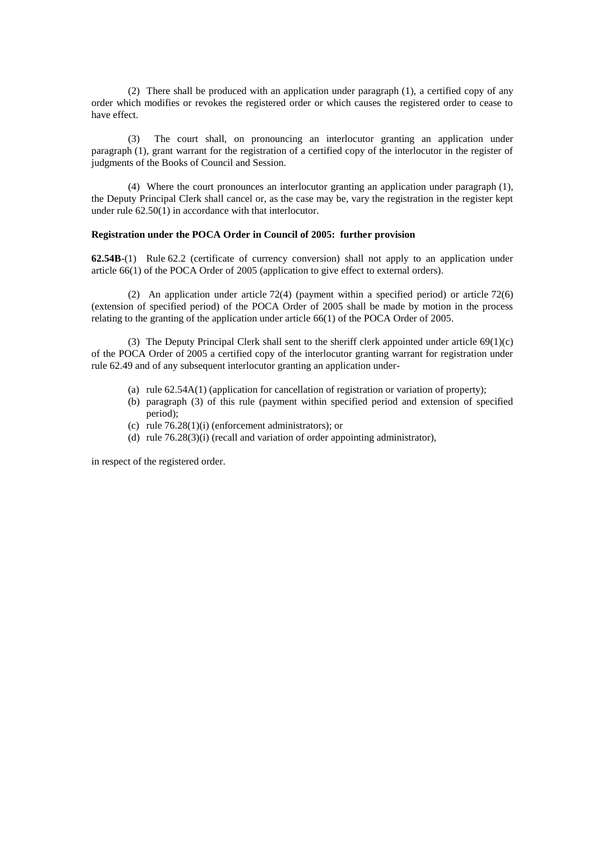(2) There shall be produced with an application under paragraph (1), a certified copy of any order which modifies or revokes the registered order or which causes the registered order to cease to have effect.

(3) The court shall, on pronouncing an interlocutor granting an application under paragraph (1), grant warrant for the registration of a certified copy of the interlocutor in the register of judgments of the Books of Council and Session.

(4) Where the court pronounces an interlocutor granting an application under paragraph (1), the Deputy Principal Clerk shall cancel or, as the case may be, vary the registration in the register kept under rule 62.50(1) in accordance with that interlocutor.

## **Registration under the POCA Order in Council of 2005: further provision**

**62.54B**-(1) Rule 62.2 (certificate of currency conversion) shall not apply to an application under article 66(1) of the POCA Order of 2005 (application to give effect to external orders).

(2) An application under article 72(4) (payment within a specified period) or article 72(6) (extension of specified period) of the POCA Order of 2005 shall be made by motion in the process relating to the granting of the application under article 66(1) of the POCA Order of 2005.

(3) The Deputy Principal Clerk shall sent to the sheriff clerk appointed under article 69(1)(c) of the POCA Order of 2005 a certified copy of the interlocutor granting warrant for registration under rule 62.49 and of any subsequent interlocutor granting an application under-

- (a) rule 62.54A(1) (application for cancellation of registration or variation of property);
- (b) paragraph (3) of this rule (payment within specified period and extension of specified period);
- (c) rule 76.28(1)(i) (enforcement administrators); or
- (d) rule 76.28(3)(i) (recall and variation of order appointing administrator),

in respect of the registered order.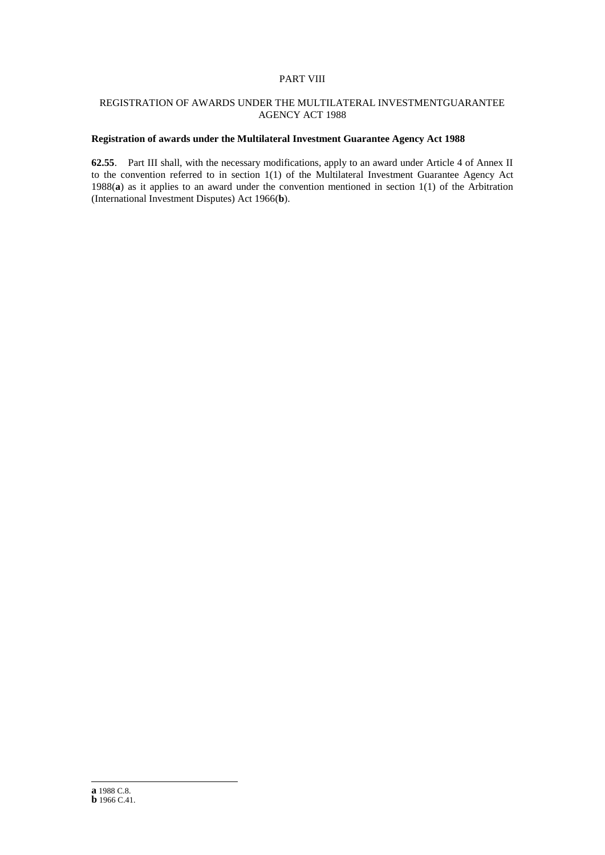# PART VIII

# REGISTRATION OF AWARDS UNDER THE MULTILATERAL INVESTMENTGUARANTEE AGENCY ACT 1988

# **Registration of awards under the Multilateral Investment Guarantee Agency Act 1988**

**62.55**. Part III shall, with the necessary modifications, apply to an award under Article 4 of Annex II to the convention referred to in section 1(1) of the Multilateral Investment Guarantee Agency Act 1988(**a**) as it applies to an award under the convention mentioned in section 1(1) of the Arbitration (International Investment Disputes) Act 1966(**b**).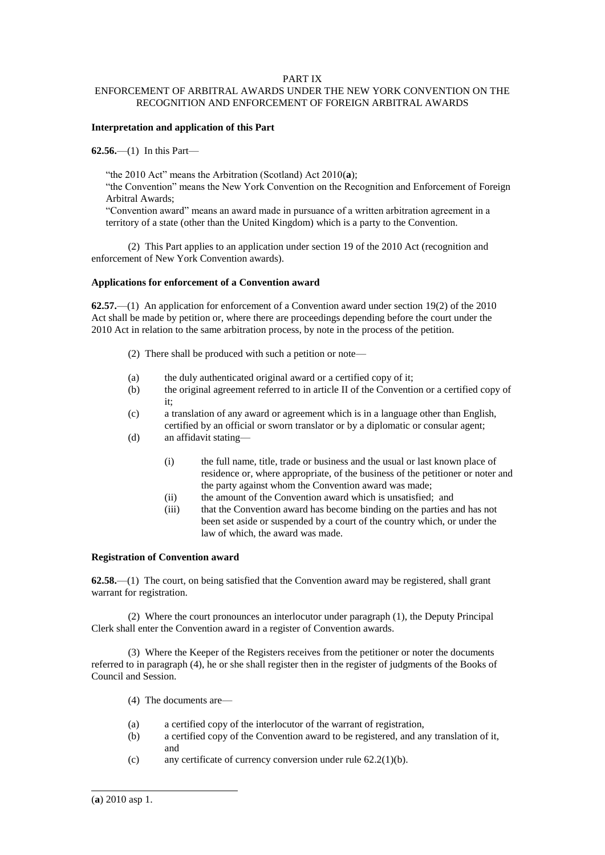# PART IX

# ENFORCEMENT OF ARBITRAL AWARDS UNDER THE NEW YORK CONVENTION ON THE RECOGNITION AND ENFORCEMENT OF FOREIGN ARBITRAL AWARDS

# **Interpretation and application of this Part**

**62.56.**—(1) In this Part—

"the 2010 Act" means the Arbitration (Scotland) Act 2010(**a**);

"the Convention" means the New York Convention on the Recognition and Enforcement of Foreign Arbitral Awards;

"Convention award" means an award made in pursuance of a written arbitration agreement in a territory of a state (other than the United Kingdom) which is a party to the Convention.

(2) This Part applies to an application under section 19 of the 2010 Act (recognition and enforcement of New York Convention awards).

# **Applications for enforcement of a Convention award**

**62.57.**—(1) An application for enforcement of a Convention award under section 19(2) of the 2010 Act shall be made by petition or, where there are proceedings depending before the court under the 2010 Act in relation to the same arbitration process, by note in the process of the petition.

- (2) There shall be produced with such a petition or note—
- (a) the duly authenticated original award or a certified copy of it;
- (b) the original agreement referred to in article II of the Convention or a certified copy of it;
- (c) a translation of any award or agreement which is in a language other than English, certified by an official or sworn translator or by a diplomatic or consular agent;
- (d) an affidavit stating—
	- (i) the full name, title, trade or business and the usual or last known place of residence or, where appropriate, of the business of the petitioner or noter and the party against whom the Convention award was made;
	- (ii) the amount of the Convention award which is unsatisfied; and
	- (iii) that the Convention award has become binding on the parties and has not been set aside or suspended by a court of the country which, or under the law of which, the award was made.

### **Registration of Convention award**

**62.58.**—(1) The court, on being satisfied that the Convention award may be registered, shall grant warrant for registration.

(2) Where the court pronounces an interlocutor under paragraph (1), the Deputy Principal Clerk shall enter the Convention award in a register of Convention awards.

(3) Where the Keeper of the Registers receives from the petitioner or noter the documents referred to in paragraph (4), he or she shall register then in the register of judgments of the Books of Council and Session.

- (4) The documents are—
- (a) a certified copy of the interlocutor of the warrant of registration,
- (b) a certified copy of the Convention award to be registered, and any translation of it, and
- (c) any certificate of currency conversion under rule 62.2(1)(b).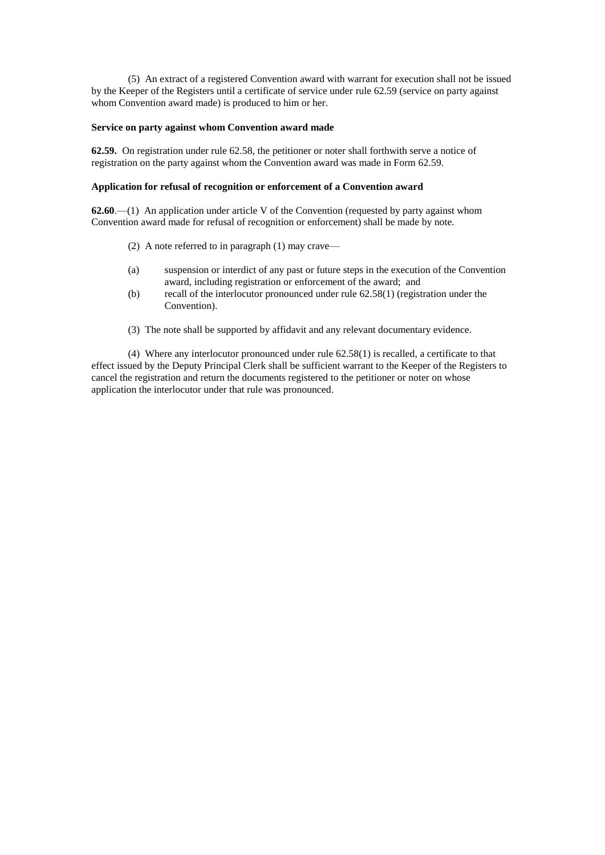(5) An extract of a registered Convention award with warrant for execution shall not be issued by the Keeper of the Registers until a certificate of service under rule 62.59 (service on party against whom Convention award made) is produced to him or her.

# **Service on party against whom Convention award made**

**62.59.** On registration under rule 62.58, the petitioner or noter shall forthwith serve a notice of registration on the party against whom the Convention award was made in Form 62.59.

#### **Application for refusal of recognition or enforcement of a Convention award**

**62.60**.—(1) An application under article V of the Convention (requested by party against whom Convention award made for refusal of recognition or enforcement) shall be made by note.

- (2) A note referred to in paragraph (1) may crave—
- (a) suspension or interdict of any past or future steps in the execution of the Convention award, including registration or enforcement of the award; and
- (b) recall of the interlocutor pronounced under rule 62.58(1) (registration under the Convention).
- (3) The note shall be supported by affidavit and any relevant documentary evidence.

(4) Where any interlocutor pronounced under rule 62.58(1) is recalled, a certificate to that effect issued by the Deputy Principal Clerk shall be sufficient warrant to the Keeper of the Registers to cancel the registration and return the documents registered to the petitioner or noter on whose application the interlocutor under that rule was pronounced.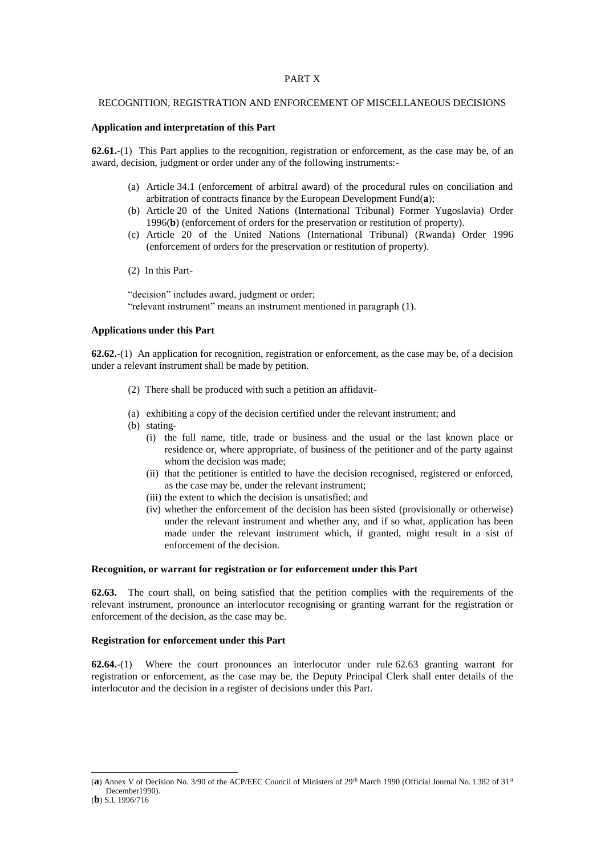## PART X

#### RECOGNITION, REGISTRATION AND ENFORCEMENT OF MISCELLANEOUS DECISIONS

## **Application and interpretation of this Part**

**62.61.**-(1) This Part applies to the recognition, registration or enforcement, as the case may be, of an award, decision, judgment or order under any of the following instruments:-

- (a) Article 34.1 (enforcement of arbitral award) of the procedural rules on conciliation and arbitration of contracts finance by the European Development Fund(**a**);
- (b) Article 20 of the United Nations (International Tribunal) Former Yugoslavia) Order 1996(**b**) (enforcement of orders for the preservation or restitution of property).
- (c) Article 20 of the United Nations (International Tribunal) (Rwanda) Order 1996 (enforcement of orders for the preservation or restitution of property).
- (2) In this Part-

"decision" includes award, judgment or order; "relevant instrument" means an instrument mentioned in paragraph (1).

#### **Applications under this Part**

**62.62.**-(1) An application for recognition, registration or enforcement, as the case may be, of a decision under a relevant instrument shall be made by petition.

- (2) There shall be produced with such a petition an affidavit-
- (a) exhibiting a copy of the decision certified under the relevant instrument; and
- (b) stating-
	- (i) the full name, title, trade or business and the usual or the last known place or residence or, where appropriate, of business of the petitioner and of the party against whom the decision was made;
	- (ii) that the petitioner is entitled to have the decision recognised, registered or enforced, as the case may be, under the relevant instrument;
	- (iii) the extent to which the decision is unsatisfied; and
	- (iv) whether the enforcement of the decision has been sisted (provisionally or otherwise) under the relevant instrument and whether any, and if so what, application has been made under the relevant instrument which, if granted, might result in a sist of enforcement of the decision.

#### **Recognition, or warrant for registration or for enforcement under this Part**

**62.63.** The court shall, on being satisfied that the petition complies with the requirements of the relevant instrument, pronounce an interlocutor recognising or granting warrant for the registration or enforcement of the decision, as the case may be.

#### **Registration for enforcement under this Part**

**62.64.**-(1) Where the court pronounces an interlocutor under rule 62.63 granting warrant for registration or enforcement, as the case may be, the Deputy Principal Clerk shall enter details of the interlocutor and the decision in a register of decisions under this Part.

<sup>(</sup>a) Annex V of Decision No. 3/90 of the ACP/EEC Council of Ministers of 29<sup>th</sup> March 1990 (Official Journal No. L382 of 31<sup>st</sup> December1990).

<sup>(</sup>**b**) S.I. 1996/716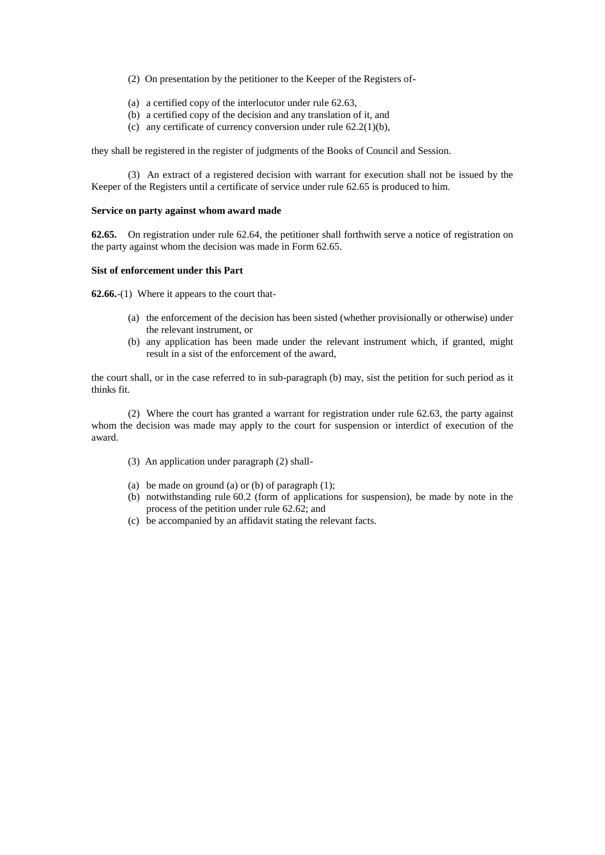- (2) On presentation by the petitioner to the Keeper of the Registers of-
- (a) a certified copy of the interlocutor under rule 62.63,
- (b) a certified copy of the decision and any translation of it, and
- (c) any certificate of currency conversion under rule  $62.2(1)(b)$ ,

they shall be registered in the register of judgments of the Books of Council and Session.

(3) An extract of a registered decision with warrant for execution shall not be issued by the Keeper of the Registers until a certificate of service under rule 62.65 is produced to him.

### **Service on party against whom award made**

**62.65.** On registration under rule 62.64, the petitioner shall forthwith serve a notice of registration on the party against whom the decision was made in Form 62.65.

#### **Sist of enforcement under this Part**

**62.66.**-(1) Where it appears to the court that-

- (a) the enforcement of the decision has been sisted (whether provisionally or otherwise) under the relevant instrument, or
- (b) any application has been made under the relevant instrument which, if granted, might result in a sist of the enforcement of the award,

the court shall, or in the case referred to in sub-paragraph (b) may, sist the petition for such period as it thinks fit.

(2) Where the court has granted a warrant for registration under rule 62.63, the party against whom the decision was made may apply to the court for suspension or interdict of execution of the award.

- (3) An application under paragraph (2) shall-
- (a) be made on ground (a) or (b) of paragraph  $(1)$ ;
- (b) notwithstanding rule 60.2 (form of applications for suspension), be made by note in the process of the petition under rule 62.62; and
- (c) be accompanied by an affidavit stating the relevant facts.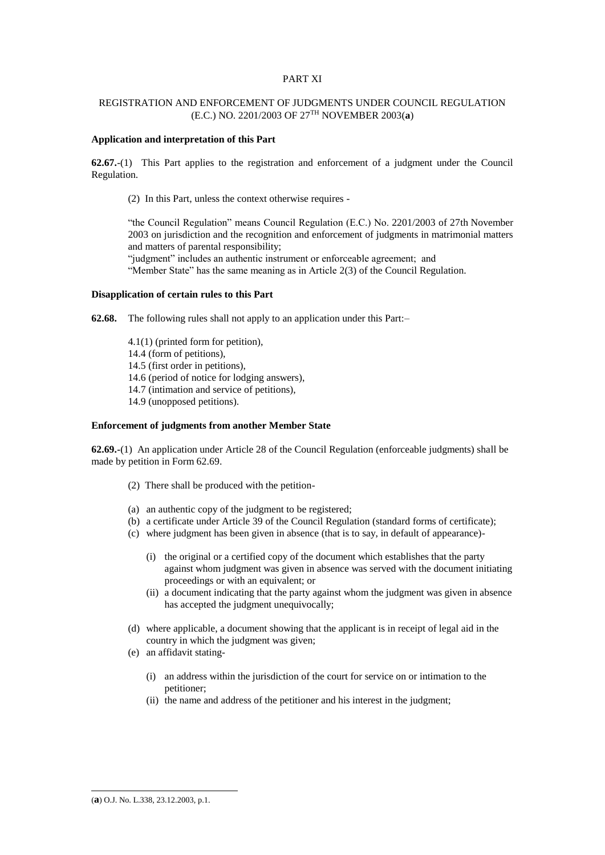# PART XI

# REGISTRATION AND ENFORCEMENT OF JUDGMENTS UNDER COUNCIL REGULATION (E.C.) NO. 2201/2003 OF 27TH NOVEMBER 2003(**a**)

# **Application and interpretation of this Part**

**62.67.**-(1) This Part applies to the registration and enforcement of a judgment under the Council Regulation.

(2) In this Part, unless the context otherwise requires -

"the Council Regulation" means Council Regulation (E.C.) No. 2201/2003 of 27th November 2003 on jurisdiction and the recognition and enforcement of judgments in matrimonial matters and matters of parental responsibility;

"judgment" includes an authentic instrument or enforceable agreement; and "Member State" has the same meaning as in Article 2(3) of the Council Regulation.

## **Disapplication of certain rules to this Part**

**62.68.** The following rules shall not apply to an application under this Part:–

4.1(1) (printed form for petition), 14.4 (form of petitions), 14.5 (first order in petitions), 14.6 (period of notice for lodging answers), 14.7 (intimation and service of petitions), 14.9 (unopposed petitions).

#### **Enforcement of judgments from another Member State**

**62.69.-**(1) An application under Article 28 of the Council Regulation (enforceable judgments) shall be made by petition in Form 62.69.

- (2) There shall be produced with the petition-
- (a) an authentic copy of the judgment to be registered;
- (b) a certificate under Article 39 of the Council Regulation (standard forms of certificate);
- (c) where judgment has been given in absence (that is to say, in default of appearance)-
	- (i) the original or a certified copy of the document which establishes that the party against whom judgment was given in absence was served with the document initiating proceedings or with an equivalent; or
	- (ii) a document indicating that the party against whom the judgment was given in absence has accepted the judgment unequivocally;
- (d) where applicable, a document showing that the applicant is in receipt of legal aid in the country in which the judgment was given;
- (e) an affidavit stating-
	- (i) an address within the jurisdiction of the court for service on or intimation to the petitioner;
	- (ii) the name and address of the petitioner and his interest in the judgment;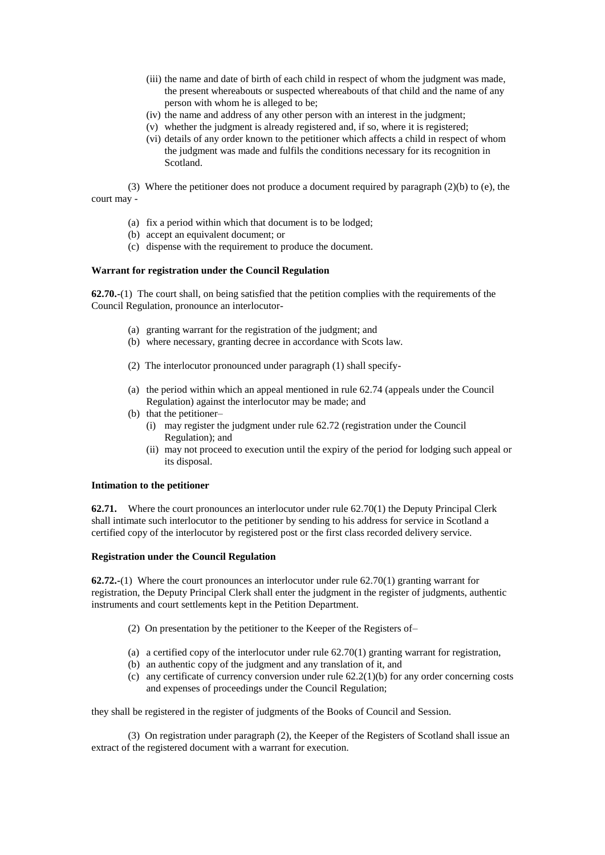- (iii) the name and date of birth of each child in respect of whom the judgment was made, the present whereabouts or suspected whereabouts of that child and the name of any person with whom he is alleged to be;
- (iv) the name and address of any other person with an interest in the judgment;
- (v) whether the judgment is already registered and, if so, where it is registered;
- (vi) details of any order known to the petitioner which affects a child in respect of whom the judgment was made and fulfils the conditions necessary for its recognition in Scotland.

(3) Where the petitioner does not produce a document required by paragraph (2)(b) to (e), the court may -

- (a) fix a period within which that document is to be lodged;
- (b) accept an equivalent document; or
- (c) dispense with the requirement to produce the document.

# **Warrant for registration under the Council Regulation**

**62.70.-**(1) The court shall, on being satisfied that the petition complies with the requirements of the Council Regulation, pronounce an interlocutor-

- (a) granting warrant for the registration of the judgment; and
- (b) where necessary, granting decree in accordance with Scots law.
- (2) The interlocutor pronounced under paragraph (1) shall specify-
- (a) the period within which an appeal mentioned in rule 62.74 (appeals under the Council Regulation) against the interlocutor may be made; and
- (b) that the petitioner–
	- (i) may register the judgment under rule 62.72 (registration under the Council Regulation); and
	- (ii) may not proceed to execution until the expiry of the period for lodging such appeal or its disposal.

## **Intimation to the petitioner**

**62.71.** Where the court pronounces an interlocutor under rule 62.70(1) the Deputy Principal Clerk shall intimate such interlocutor to the petitioner by sending to his address for service in Scotland a certified copy of the interlocutor by registered post or the first class recorded delivery service.

## **Registration under the Council Regulation**

**62.72.-**(1) Where the court pronounces an interlocutor under rule 62.70(1) granting warrant for registration, the Deputy Principal Clerk shall enter the judgment in the register of judgments, authentic instruments and court settlements kept in the Petition Department.

- (2) On presentation by the petitioner to the Keeper of the Registers of–
- (a) a certified copy of the interlocutor under rule  $62.70(1)$  granting warrant for registration,
- (b) an authentic copy of the judgment and any translation of it, and
- (c) any certificate of currency conversion under rule  $62.2(1)(b)$  for any order concerning costs and expenses of proceedings under the Council Regulation;

they shall be registered in the register of judgments of the Books of Council and Session.

(3) On registration under paragraph (2), the Keeper of the Registers of Scotland shall issue an extract of the registered document with a warrant for execution.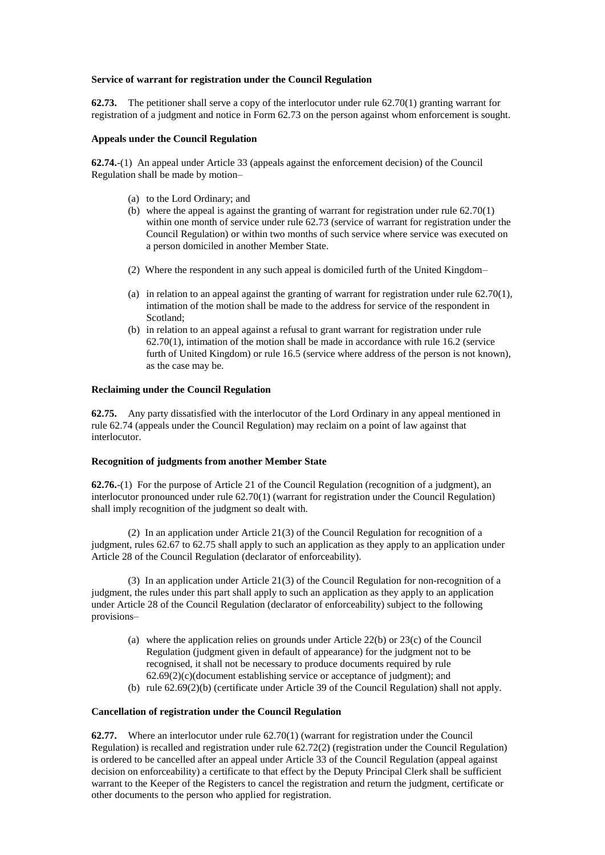# **Service of warrant for registration under the Council Regulation**

**62.73.** The petitioner shall serve a copy of the interlocutor under rule 62.70(1) granting warrant for registration of a judgment and notice in Form 62.73 on the person against whom enforcement is sought.

# **Appeals under the Council Regulation**

**62.74.**-(1) An appeal under Article 33 (appeals against the enforcement decision) of the Council Regulation shall be made by motion–

- (a) to the Lord Ordinary; and
- (b) where the appeal is against the granting of warrant for registration under rule  $62.70(1)$ within one month of service under rule 62.73 (service of warrant for registration under the Council Regulation) or within two months of such service where service was executed on a person domiciled in another Member State.
- (2) Where the respondent in any such appeal is domiciled furth of the United Kingdom–
- (a) in relation to an appeal against the granting of warrant for registration under rule 62.70(1), intimation of the motion shall be made to the address for service of the respondent in Scotland;
- (b) in relation to an appeal against a refusal to grant warrant for registration under rule 62.70(1), intimation of the motion shall be made in accordance with rule 16.2 (service furth of United Kingdom) or rule 16.5 (service where address of the person is not known), as the case may be.

### **Reclaiming under the Council Regulation**

**62.75.** Any party dissatisfied with the interlocutor of the Lord Ordinary in any appeal mentioned in rule 62.74 (appeals under the Council Regulation) may reclaim on a point of law against that interlocutor.

# **Recognition of judgments from another Member State**

**62.76.**-(1) For the purpose of Article 21 of the Council Regulation (recognition of a judgment), an interlocutor pronounced under rule 62.70(1) (warrant for registration under the Council Regulation) shall imply recognition of the judgment so dealt with.

(2) In an application under Article 21(3) of the Council Regulation for recognition of a judgment, rules 62.67 to 62.75 shall apply to such an application as they apply to an application under Article 28 of the Council Regulation (declarator of enforceability).

(3) In an application under Article 21(3) of the Council Regulation for non-recognition of a judgment, the rules under this part shall apply to such an application as they apply to an application under Article 28 of the Council Regulation (declarator of enforceability) subject to the following provisions–

- (a) where the application relies on grounds under Article 22(b) or 23(c) of the Council Regulation (judgment given in default of appearance) for the judgment not to be recognised, it shall not be necessary to produce documents required by rule  $62.69(2)(c)$ (document establishing service or acceptance of judgment); and
- (b) rule 62.69(2)(b) (certificate under Article 39 of the Council Regulation) shall not apply.

### **Cancellation of registration under the Council Regulation**

**62.77.** Where an interlocutor under rule 62.70(1) (warrant for registration under the Council Regulation) is recalled and registration under rule 62.72(2) (registration under the Council Regulation) is ordered to be cancelled after an appeal under Article 33 of the Council Regulation (appeal against decision on enforceability) a certificate to that effect by the Deputy Principal Clerk shall be sufficient warrant to the Keeper of the Registers to cancel the registration and return the judgment, certificate or other documents to the person who applied for registration.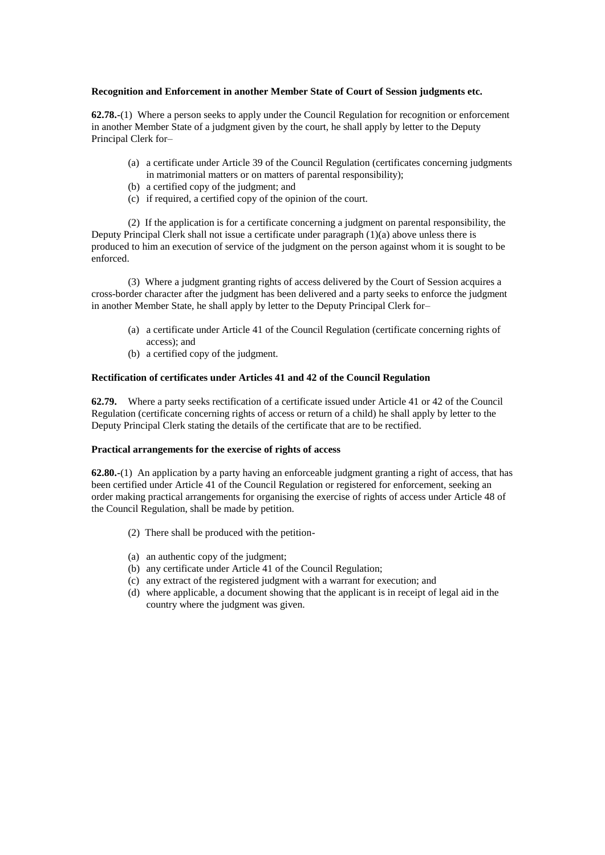# **Recognition and Enforcement in another Member State of Court of Session judgments etc.**

**62.78.-**(1) Where a person seeks to apply under the Council Regulation for recognition or enforcement in another Member State of a judgment given by the court, he shall apply by letter to the Deputy Principal Clerk for–

- (a) a certificate under Article 39 of the Council Regulation (certificates concerning judgments in matrimonial matters or on matters of parental responsibility);
- (b) a certified copy of the judgment; and
- (c) if required, a certified copy of the opinion of the court.

(2) If the application is for a certificate concerning a judgment on parental responsibility, the Deputy Principal Clerk shall not issue a certificate under paragraph (1)(a) above unless there is produced to him an execution of service of the judgment on the person against whom it is sought to be enforced.

(3) Where a judgment granting rights of access delivered by the Court of Session acquires a cross-border character after the judgment has been delivered and a party seeks to enforce the judgment in another Member State, he shall apply by letter to the Deputy Principal Clerk for–

- (a) a certificate under Article 41 of the Council Regulation (certificate concerning rights of access); and
- (b) a certified copy of the judgment.

# **Rectification of certificates under Articles 41 and 42 of the Council Regulation**

**62.79.** Where a party seeks rectification of a certificate issued under Article 41 or 42 of the Council Regulation (certificate concerning rights of access or return of a child) he shall apply by letter to the Deputy Principal Clerk stating the details of the certificate that are to be rectified.

# **Practical arrangements for the exercise of rights of access**

**62.80.-**(1) An application by a party having an enforceable judgment granting a right of access, that has been certified under Article 41 of the Council Regulation or registered for enforcement, seeking an order making practical arrangements for organising the exercise of rights of access under Article 48 of the Council Regulation, shall be made by petition.

- (2) There shall be produced with the petition-
- (a) an authentic copy of the judgment;
- (b) any certificate under Article 41 of the Council Regulation;
- (c) any extract of the registered judgment with a warrant for execution; and
- (d) where applicable, a document showing that the applicant is in receipt of legal aid in the country where the judgment was given.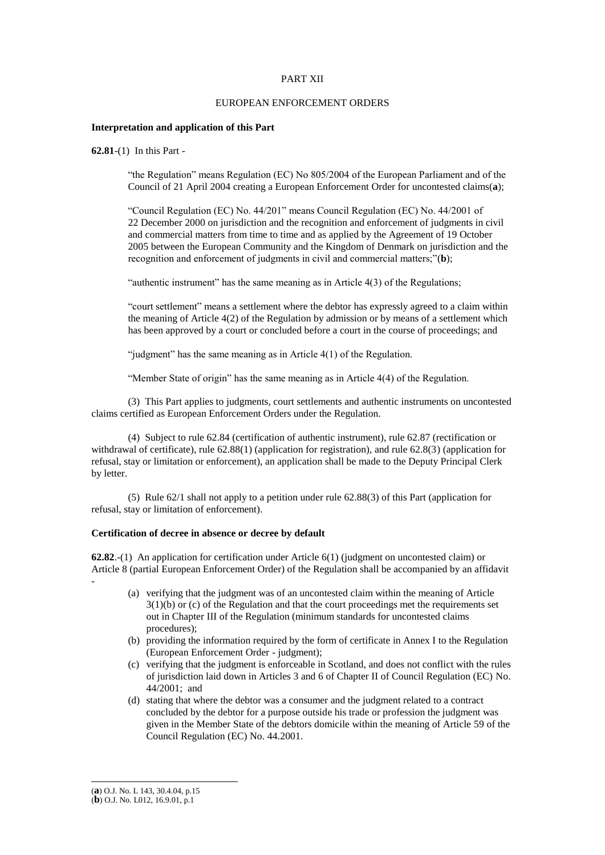# PART XII

## EUROPEAN ENFORCEMENT ORDERS

## **Interpretation and application of this Part**

**62.81**-(1) In this Part -

"the Regulation" means Regulation (EC) No 805/2004 of the European Parliament and of the Council of 21 April 2004 creating a European Enforcement Order for uncontested claims(**a**);

"Council Regulation (EC) No. 44/201" means Council Regulation (EC) No. 44/2001 of 22 December 2000 on jurisdiction and the recognition and enforcement of judgments in civil and commercial matters from time to time and as applied by the Agreement of 19 October 2005 between the European Community and the Kingdom of Denmark on jurisdiction and the recognition and enforcement of judgments in civil and commercial matters;"(**b**);

"authentic instrument" has the same meaning as in Article 4(3) of the Regulations;

"court settlement" means a settlement where the debtor has expressly agreed to a claim within the meaning of Article 4(2) of the Regulation by admission or by means of a settlement which has been approved by a court or concluded before a court in the course of proceedings; and

"judgment" has the same meaning as in Article 4(1) of the Regulation.

"Member State of origin" has the same meaning as in Article 4(4) of the Regulation.

(3) This Part applies to judgments, court settlements and authentic instruments on uncontested claims certified as European Enforcement Orders under the Regulation.

(4) Subject to rule 62.84 (certification of authentic instrument), rule 62.87 (rectification or withdrawal of certificate), rule 62.88(1) (application for registration), and rule 62.8(3) (application for refusal, stay or limitation or enforcement), an application shall be made to the Deputy Principal Clerk by letter.

(5) Rule 62/1 shall not apply to a petition under rule 62.88(3) of this Part (application for refusal, stay or limitation of enforcement).

## **Certification of decree in absence or decree by default**

**62.82**.-(1) An application for certification under Article 6(1) (judgment on uncontested claim) or Article 8 (partial European Enforcement Order) of the Regulation shall be accompanied by an affidavit

- (a) verifying that the judgment was of an uncontested claim within the meaning of Article 3(1)(b) or (c) of the Regulation and that the court proceedings met the requirements set out in Chapter III of the Regulation (minimum standards for uncontested claims procedures);
- (b) providing the information required by the form of certificate in Annex I to the Regulation (European Enforcement Order - judgment);
- (c) verifying that the judgment is enforceable in Scotland, and does not conflict with the rules of jurisdiction laid down in Articles 3 and 6 of Chapter II of Council Regulation (EC) No. 44/2001; and
- (d) stating that where the debtor was a consumer and the judgment related to a contract concluded by the debtor for a purpose outside his trade or profession the judgment was given in the Member State of the debtors domicile within the meaning of Article 59 of the Council Regulation (EC) No. 44.2001.

-

<sup>(</sup>**a**) O.J. No. L 143, 30.4.04, p.15

<sup>(</sup>**b**) O.J. No. L012, 16.9.01, p.1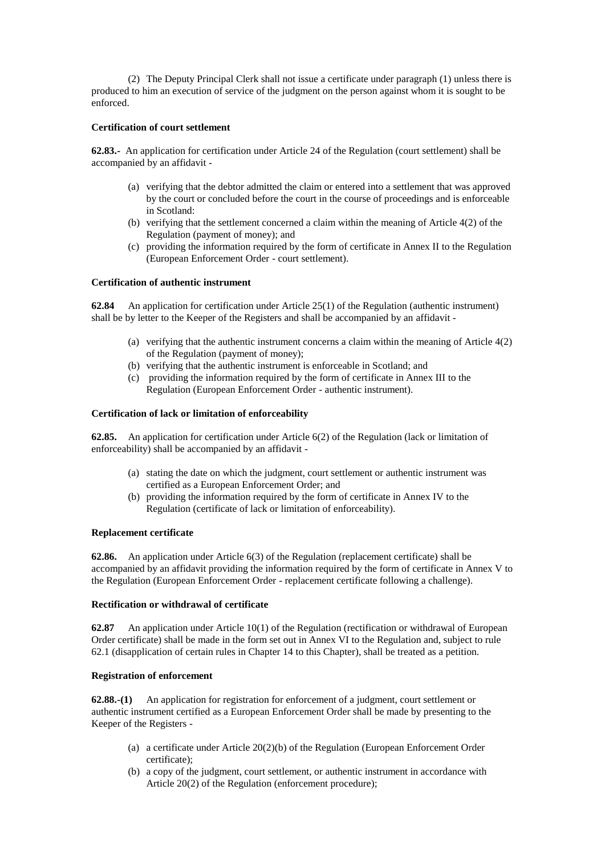(2) The Deputy Principal Clerk shall not issue a certificate under paragraph (1) unless there is produced to him an execution of service of the judgment on the person against whom it is sought to be enforced.

# **Certification of court settlement**

**62.83.-** An application for certification under Article 24 of the Regulation (court settlement) shall be accompanied by an affidavit -

- (a) verifying that the debtor admitted the claim or entered into a settlement that was approved by the court or concluded before the court in the course of proceedings and is enforceable in Scotland:
- (b) verifying that the settlement concerned a claim within the meaning of Article 4(2) of the Regulation (payment of money); and
- (c) providing the information required by the form of certificate in Annex II to the Regulation (European Enforcement Order - court settlement).

# **Certification of authentic instrument**

**62.84** An application for certification under Article 25(1) of the Regulation (authentic instrument) shall be by letter to the Keeper of the Registers and shall be accompanied by an affidavit -

- (a) verifying that the authentic instrument concerns a claim within the meaning of Article 4(2) of the Regulation (payment of money);
- (b) verifying that the authentic instrument is enforceable in Scotland; and
- (c) providing the information required by the form of certificate in Annex III to the Regulation (European Enforcement Order - authentic instrument).

### **Certification of lack or limitation of enforceability**

**62.85.** An application for certification under Article 6(2) of the Regulation (lack or limitation of enforceability) shall be accompanied by an affidavit -

- (a) stating the date on which the judgment, court settlement or authentic instrument was certified as a European Enforcement Order; and
- (b) providing the information required by the form of certificate in Annex IV to the Regulation (certificate of lack or limitation of enforceability).

### **Replacement certificate**

**62.86.** An application under Article 6(3) of the Regulation (replacement certificate) shall be accompanied by an affidavit providing the information required by the form of certificate in Annex V to the Regulation (European Enforcement Order - replacement certificate following a challenge).

## **Rectification or withdrawal of certificate**

**62.87** An application under Article 10(1) of the Regulation (rectification or withdrawal of European Order certificate) shall be made in the form set out in Annex VI to the Regulation and, subject to rule 62.1 (disapplication of certain rules in Chapter 14 to this Chapter), shall be treated as a petition.

# **Registration of enforcement**

**62.88.-(1)** An application for registration for enforcement of a judgment, court settlement or authentic instrument certified as a European Enforcement Order shall be made by presenting to the Keeper of the Registers -

- (a) a certificate under Article 20(2)(b) of the Regulation (European Enforcement Order certificate);
- (b) a copy of the judgment, court settlement, or authentic instrument in accordance with Article 20(2) of the Regulation (enforcement procedure);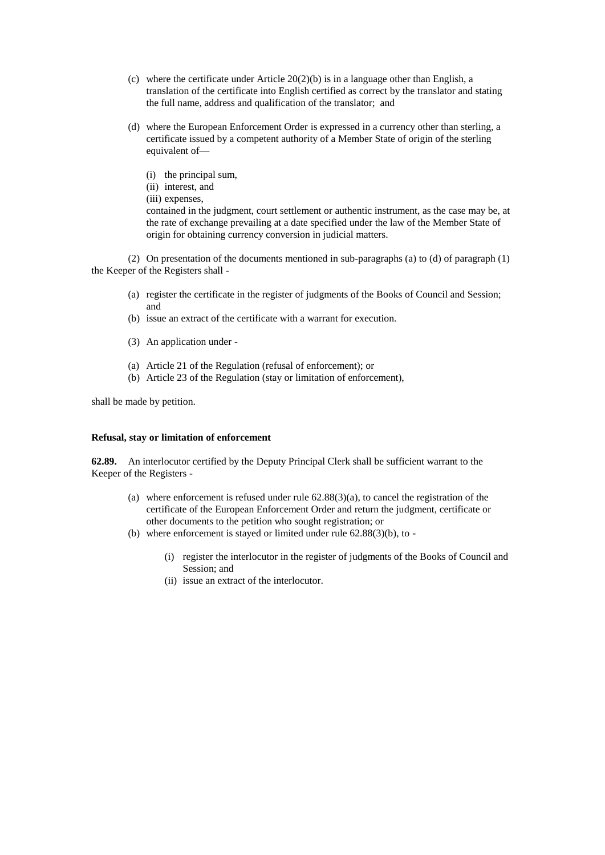- (c) where the certificate under Article  $20(2)(b)$  is in a language other than English, a translation of the certificate into English certified as correct by the translator and stating the full name, address and qualification of the translator; and
- (d) where the European Enforcement Order is expressed in a currency other than sterling, a certificate issued by a competent authority of a Member State of origin of the sterling equivalent of—
	- (i) the principal sum,
	- (ii) interest, and
	- (iii) expenses,

contained in the judgment, court settlement or authentic instrument, as the case may be, at the rate of exchange prevailing at a date specified under the law of the Member State of origin for obtaining currency conversion in judicial matters.

(2) On presentation of the documents mentioned in sub-paragraphs (a) to (d) of paragraph (1) the Keeper of the Registers shall -

- (a) register the certificate in the register of judgments of the Books of Council and Session; and
- (b) issue an extract of the certificate with a warrant for execution.
- (3) An application under -
- (a) Article 21 of the Regulation (refusal of enforcement); or
- (b) Article 23 of the Regulation (stay or limitation of enforcement),

shall be made by petition.

# **Refusal, stay or limitation of enforcement**

**62.89.** An interlocutor certified by the Deputy Principal Clerk shall be sufficient warrant to the Keeper of the Registers -

- (a) where enforcement is refused under rule  $62.88(3)(a)$ , to cancel the registration of the certificate of the European Enforcement Order and return the judgment, certificate or other documents to the petition who sought registration; or
- (b) where enforcement is stayed or limited under rule 62.88(3)(b), to
	- (i) register the interlocutor in the register of judgments of the Books of Council and Session; and
	- (ii) issue an extract of the interlocutor.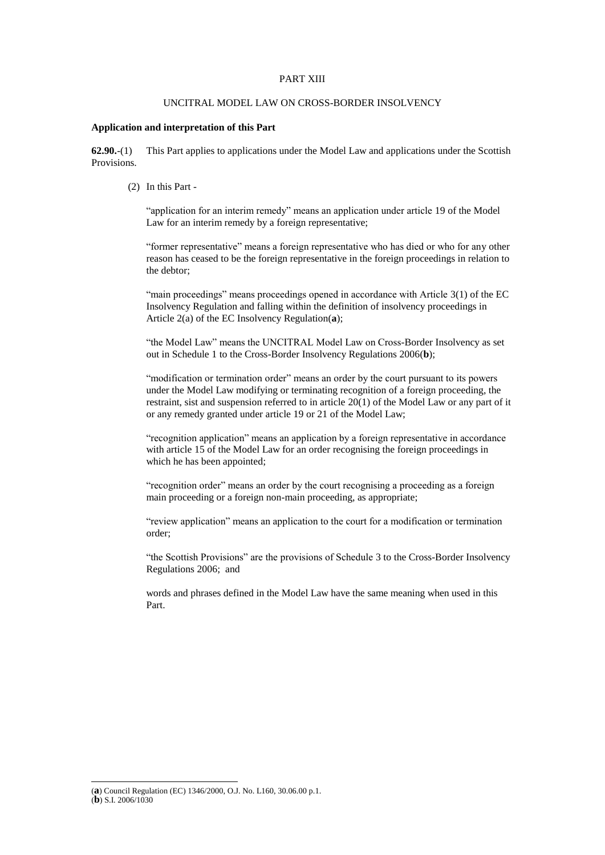## PART XIII

# UNCITRAL MODEL LAW ON CROSS-BORDER INSOLVENCY

# **Application and interpretation of this Part**

**62.90.**-(1) This Part applies to applications under the Model Law and applications under the Scottish Provisions.

(2) In this Part -

"application for an interim remedy" means an application under article 19 of the Model Law for an interim remedy by a foreign representative;

"former representative" means a foreign representative who has died or who for any other reason has ceased to be the foreign representative in the foreign proceedings in relation to the debtor;

"main proceedings" means proceedings opened in accordance with Article 3(1) of the EC Insolvency Regulation and falling within the definition of insolvency proceedings in Article 2(a) of the EC Insolvency Regulation(**a**);

"the Model Law" means the UNCITRAL Model Law on Cross-Border Insolvency as set out in Schedule 1 to the Cross-Border Insolvency Regulations 2006(**b**);

"modification or termination order" means an order by the court pursuant to its powers under the Model Law modifying or terminating recognition of a foreign proceeding, the restraint, sist and suspension referred to in article 20(1) of the Model Law or any part of it or any remedy granted under article 19 or 21 of the Model Law;

"recognition application" means an application by a foreign representative in accordance with article 15 of the Model Law for an order recognising the foreign proceedings in which he has been appointed;

"recognition order" means an order by the court recognising a proceeding as a foreign main proceeding or a foreign non-main proceeding, as appropriate;

"review application" means an application to the court for a modification or termination order;

"the Scottish Provisions" are the provisions of Schedule 3 to the Cross-Border Insolvency Regulations 2006; and

words and phrases defined in the Model Law have the same meaning when used in this Part.

<sup>(</sup>**a**) Council Regulation (EC) 1346/2000, O.J. No. L160, 30.06.00 p.1. (**b**) S.I. 2006/1030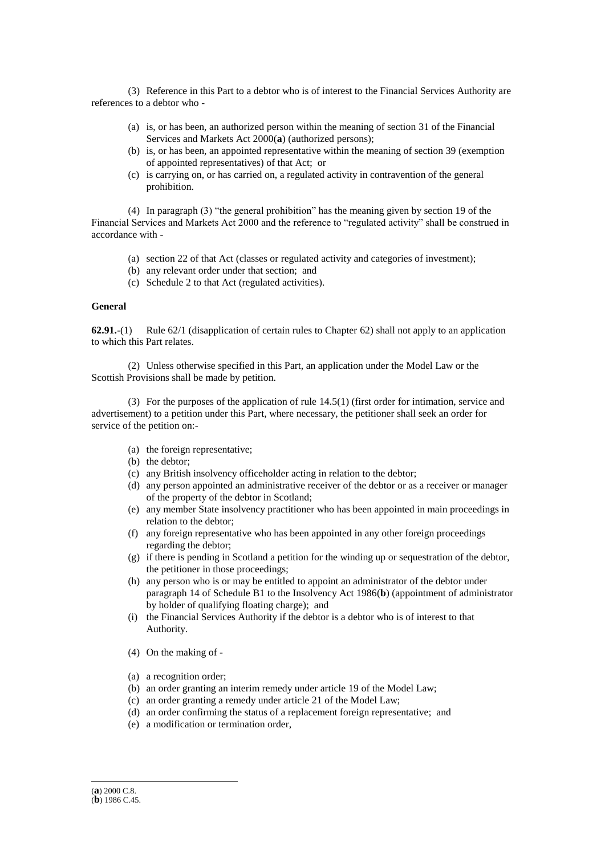(3) Reference in this Part to a debtor who is of interest to the Financial Services Authority are references to a debtor who -

- (a) is, or has been, an authorized person within the meaning of section 31 of the Financial Services and Markets Act 2000(**a**) (authorized persons);
- (b) is, or has been, an appointed representative within the meaning of section 39 (exemption of appointed representatives) of that Act; or
- (c) is carrying on, or has carried on, a regulated activity in contravention of the general prohibition.

(4) In paragraph (3) "the general prohibition" has the meaning given by section 19 of the Financial Services and Markets Act 2000 and the reference to "regulated activity" shall be construed in accordance with -

- (a) section 22 of that Act (classes or regulated activity and categories of investment);
- (b) any relevant order under that section; and
- (c) Schedule 2 to that Act (regulated activities).

# **General**

**62.91.**-(1) Rule 62/1 (disapplication of certain rules to Chapter 62) shall not apply to an application to which this Part relates.

(2) Unless otherwise specified in this Part, an application under the Model Law or the Scottish Provisions shall be made by petition.

(3) For the purposes of the application of rule 14.5(1) (first order for intimation, service and advertisement) to a petition under this Part, where necessary, the petitioner shall seek an order for service of the petition on:-

- (a) the foreign representative;
- (b) the debtor;
- (c) any British insolvency officeholder acting in relation to the debtor;
- (d) any person appointed an administrative receiver of the debtor or as a receiver or manager of the property of the debtor in Scotland;
- (e) any member State insolvency practitioner who has been appointed in main proceedings in relation to the debtor;
- (f) any foreign representative who has been appointed in any other foreign proceedings regarding the debtor;
- (g) if there is pending in Scotland a petition for the winding up or sequestration of the debtor, the petitioner in those proceedings;
- (h) any person who is or may be entitled to appoint an administrator of the debtor under paragraph 14 of Schedule B1 to the Insolvency Act 1986(**b**) (appointment of administrator by holder of qualifying floating charge); and
- (i) the Financial Services Authority if the debtor is a debtor who is of interest to that Authority.
- (4) On the making of -
- (a) a recognition order;
- (b) an order granting an interim remedy under article 19 of the Model Law;
- (c) an order granting a remedy under article 21 of the Model Law;
- (d) an order confirming the status of a replacement foreign representative; and
- (e) a modification or termination order,

<sup>(</sup>**a**) 2000 C.8.

<sup>(</sup>**b**) 1986 C.45.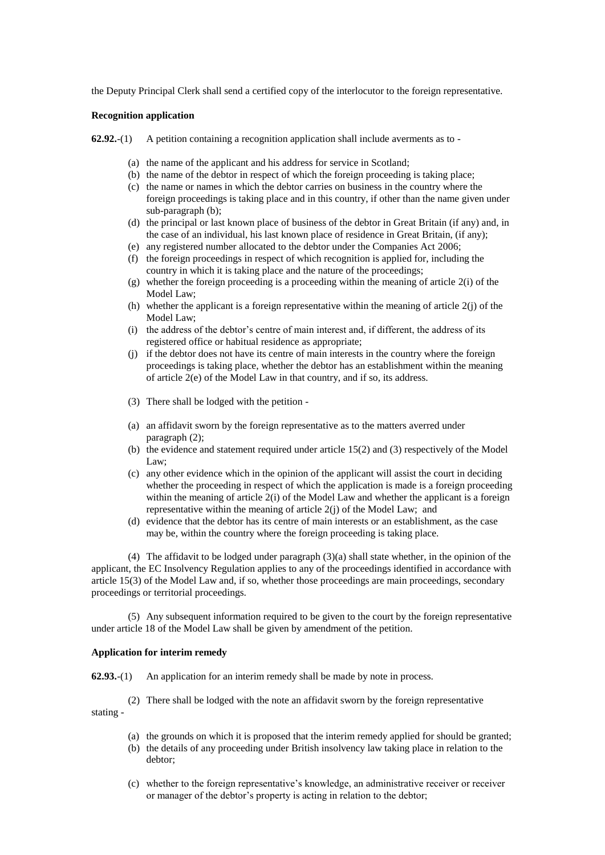the Deputy Principal Clerk shall send a certified copy of the interlocutor to the foreign representative.

# **Recognition application**

**62.92.**-(1) A petition containing a recognition application shall include averments as to -

- (a) the name of the applicant and his address for service in Scotland;
- (b) the name of the debtor in respect of which the foreign proceeding is taking place;
- (c) the name or names in which the debtor carries on business in the country where the foreign proceedings is taking place and in this country, if other than the name given under sub-paragraph (b);
- (d) the principal or last known place of business of the debtor in Great Britain (if any) and, in the case of an individual, his last known place of residence in Great Britain, (if any);
- (e) any registered number allocated to the debtor under the Companies Act 2006;
- (f) the foreign proceedings in respect of which recognition is applied for, including the country in which it is taking place and the nature of the proceedings;
- (g) whether the foreign proceeding is a proceeding within the meaning of article 2(i) of the Model Law;
- (h) whether the applicant is a foreign representative within the meaning of article  $2(i)$  of the Model Law;
- (i) the address of the debtor's centre of main interest and, if different, the address of its registered office or habitual residence as appropriate;
- (j) if the debtor does not have its centre of main interests in the country where the foreign proceedings is taking place, whether the debtor has an establishment within the meaning of article 2(e) of the Model Law in that country, and if so, its address.
- (3) There shall be lodged with the petition -
- (a) an affidavit sworn by the foreign representative as to the matters averred under paragraph (2);
- (b) the evidence and statement required under article 15(2) and (3) respectively of the Model Law;
- (c) any other evidence which in the opinion of the applicant will assist the court in deciding whether the proceeding in respect of which the application is made is a foreign proceeding within the meaning of article 2(i) of the Model Law and whether the applicant is a foreign representative within the meaning of article 2(j) of the Model Law; and
- (d) evidence that the debtor has its centre of main interests or an establishment, as the case may be, within the country where the foreign proceeding is taking place.

(4) The affidavit to be lodged under paragraph (3)(a) shall state whether, in the opinion of the applicant, the EC Insolvency Regulation applies to any of the proceedings identified in accordance with article 15(3) of the Model Law and, if so, whether those proceedings are main proceedings, secondary proceedings or territorial proceedings.

(5) Any subsequent information required to be given to the court by the foreign representative under article 18 of the Model Law shall be given by amendment of the petition.

# **Application for interim remedy**

**62.93.**-(1) An application for an interim remedy shall be made by note in process.

(2) There shall be lodged with the note an affidavit sworn by the foreign representative stating -

- (a) the grounds on which it is proposed that the interim remedy applied for should be granted;
- (b) the details of any proceeding under British insolvency law taking place in relation to the debtor;
- (c) whether to the foreign representative's knowledge, an administrative receiver or receiver or manager of the debtor's property is acting in relation to the debtor;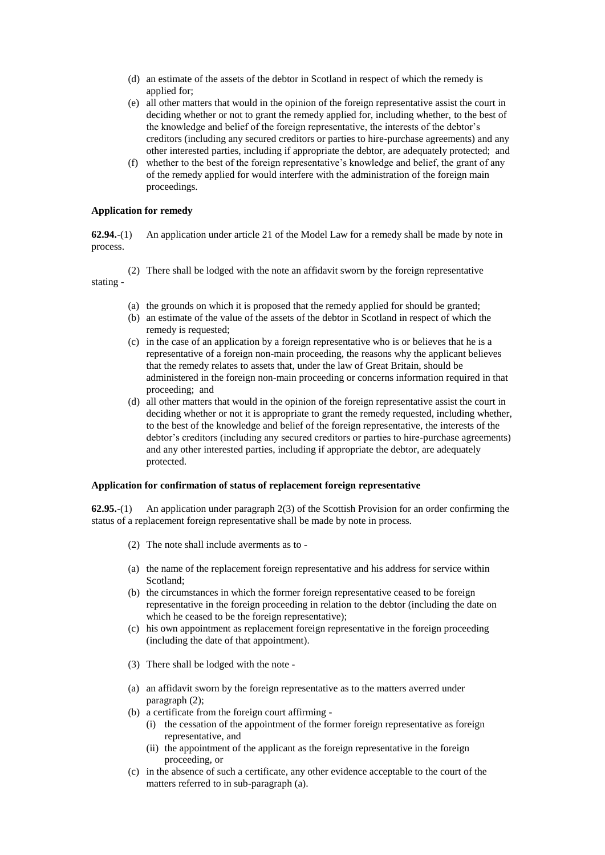- (d) an estimate of the assets of the debtor in Scotland in respect of which the remedy is applied for;
- (e) all other matters that would in the opinion of the foreign representative assist the court in deciding whether or not to grant the remedy applied for, including whether, to the best of the knowledge and belief of the foreign representative, the interests of the debtor's creditors (including any secured creditors or parties to hire-purchase agreements) and any other interested parties, including if appropriate the debtor, are adequately protected; and
- (f) whether to the best of the foreign representative's knowledge and belief, the grant of any of the remedy applied for would interfere with the administration of the foreign main proceedings.

## **Application for remedy**

**62.94.**-(1) An application under article 21 of the Model Law for a remedy shall be made by note in process.

(2) There shall be lodged with the note an affidavit sworn by the foreign representative

stating -

- (a) the grounds on which it is proposed that the remedy applied for should be granted;
- (b) an estimate of the value of the assets of the debtor in Scotland in respect of which the remedy is requested;
- (c) in the case of an application by a foreign representative who is or believes that he is a representative of a foreign non-main proceeding, the reasons why the applicant believes that the remedy relates to assets that, under the law of Great Britain, should be administered in the foreign non-main proceeding or concerns information required in that proceeding; and
- (d) all other matters that would in the opinion of the foreign representative assist the court in deciding whether or not it is appropriate to grant the remedy requested, including whether, to the best of the knowledge and belief of the foreign representative, the interests of the debtor's creditors (including any secured creditors or parties to hire-purchase agreements) and any other interested parties, including if appropriate the debtor, are adequately protected.

# **Application for confirmation of status of replacement foreign representative**

**62.95.**-(1) An application under paragraph 2(3) of the Scottish Provision for an order confirming the status of a replacement foreign representative shall be made by note in process.

- (2) The note shall include averments as to -
- (a) the name of the replacement foreign representative and his address for service within Scotland;
- (b) the circumstances in which the former foreign representative ceased to be foreign representative in the foreign proceeding in relation to the debtor (including the date on which he ceased to be the foreign representative);
- (c) his own appointment as replacement foreign representative in the foreign proceeding (including the date of that appointment).
- (3) There shall be lodged with the note -
- (a) an affidavit sworn by the foreign representative as to the matters averred under paragraph (2);
- (b) a certificate from the foreign court affirming
	- (i) the cessation of the appointment of the former foreign representative as foreign representative, and
	- (ii) the appointment of the applicant as the foreign representative in the foreign proceeding, or
- (c) in the absence of such a certificate, any other evidence acceptable to the court of the matters referred to in sub-paragraph (a).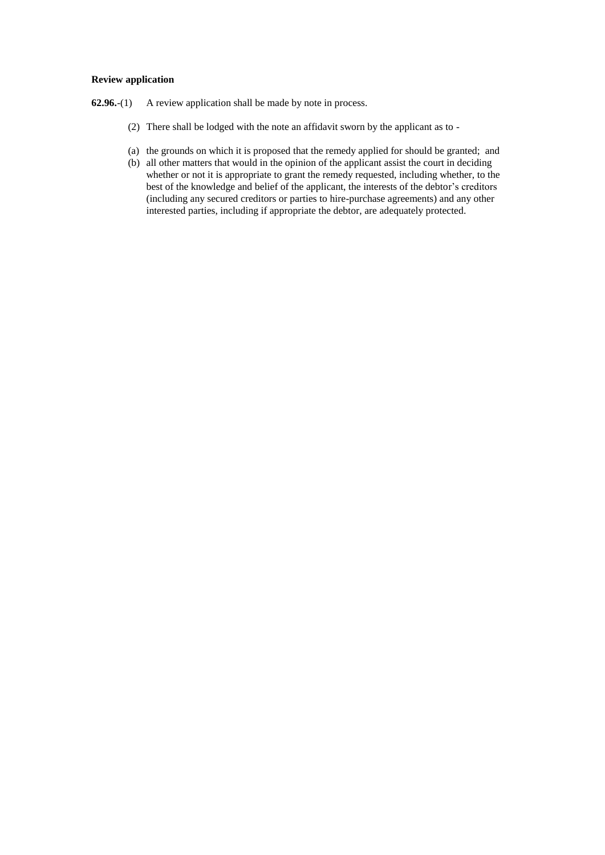# **Review application**

- **62.96.**-(1) A review application shall be made by note in process.
	- (2) There shall be lodged with the note an affidavit sworn by the applicant as to -
	- (a) the grounds on which it is proposed that the remedy applied for should be granted; and
	- (b) all other matters that would in the opinion of the applicant assist the court in deciding whether or not it is appropriate to grant the remedy requested, including whether, to the best of the knowledge and belief of the applicant, the interests of the debtor's creditors (including any secured creditors or parties to hire-purchase agreements) and any other interested parties, including if appropriate the debtor, are adequately protected.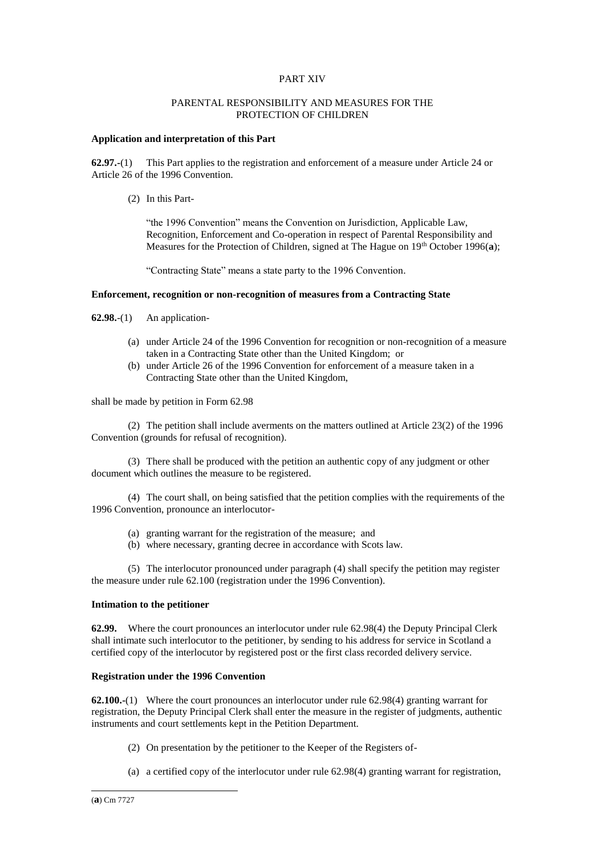# PART XIV

# PARENTAL RESPONSIBILITY AND MEASURES FOR THE PROTECTION OF CHILDREN

# **Application and interpretation of this Part**

**62.97.-**(1) This Part applies to the registration and enforcement of a measure under Article 24 or Article 26 of the 1996 Convention.

(2) In this Part-

"the 1996 Convention" means the Convention on Jurisdiction, Applicable Law, Recognition, Enforcement and Co-operation in respect of Parental Responsibility and Measures for the Protection of Children, signed at The Hague on 19<sup>th</sup> October 1996(a);

"Contracting State" means a state party to the 1996 Convention.

# **Enforcement, recognition or non-recognition of measures from a Contracting State**

**62.98.**-(1) An application-

- (a) under Article 24 of the 1996 Convention for recognition or non-recognition of a measure taken in a Contracting State other than the United Kingdom; or
- (b) under Article 26 of the 1996 Convention for enforcement of a measure taken in a Contracting State other than the United Kingdom,

shall be made by petition in Form 62.98

(2) The petition shall include averments on the matters outlined at Article 23(2) of the 1996 Convention (grounds for refusal of recognition).

(3) There shall be produced with the petition an authentic copy of any judgment or other document which outlines the measure to be registered.

(4) The court shall, on being satisfied that the petition complies with the requirements of the 1996 Convention, pronounce an interlocutor-

- (a) granting warrant for the registration of the measure; and
- (b) where necessary, granting decree in accordance with Scots law.

(5) The interlocutor pronounced under paragraph (4) shall specify the petition may register the measure under rule 62.100 (registration under the 1996 Convention).

### **Intimation to the petitioner**

**62.99.** Where the court pronounces an interlocutor under rule 62.98(4) the Deputy Principal Clerk shall intimate such interlocutor to the petitioner, by sending to his address for service in Scotland a certified copy of the interlocutor by registered post or the first class recorded delivery service.

# **Registration under the 1996 Convention**

**62.100.-**(1) Where the court pronounces an interlocutor under rule 62.98(4) granting warrant for registration, the Deputy Principal Clerk shall enter the measure in the register of judgments, authentic instruments and court settlements kept in the Petition Department.

- (2) On presentation by the petitioner to the Keeper of the Registers of-
- (a) a certified copy of the interlocutor under rule 62.98(4) granting warrant for registration,